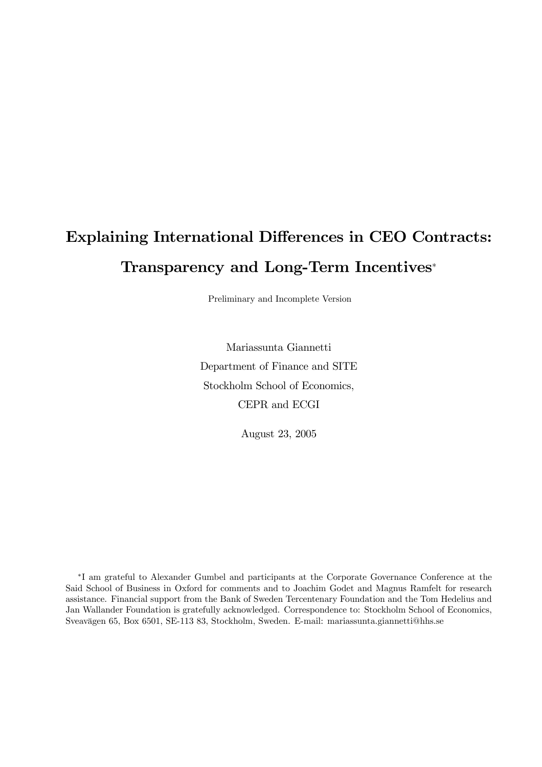# Explaining International Differences in CEO Contracts: Transparency and Long-Term Incentives<sup>∗</sup>

Preliminary and Incomplete Version

Mariassunta Giannetti Department of Finance and SITE Stockholm School of Economics, CEPR and ECGI

August 23, 2005

∗I am grateful to Alexander Gumbel and participants at the Corporate Governance Conference at the Said School of Business in Oxford for comments and to Joachim Godet and Magnus Ramfelt for research assistance. Financial support from the Bank of Sweden Tercentenary Foundation and the Tom Hedelius and Jan Wallander Foundation is gratefully acknowledged. Correspondence to: Stockholm School of Economics, Sveavägen 65, Box 6501, SE-113 83, Stockholm, Sweden. E-mail: mariassunta.giannetti@hhs.se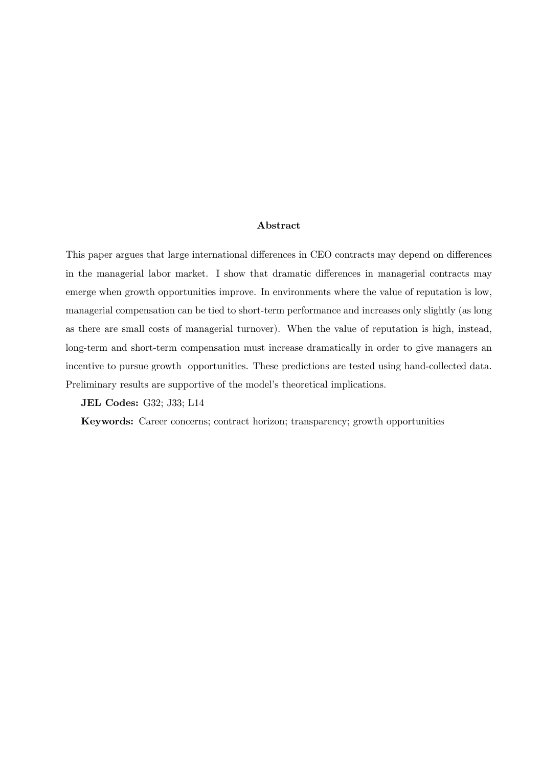### Abstract

This paper argues that large international differences in CEO contracts may depend on differences in the managerial labor market. I show that dramatic differences in managerial contracts may emerge when growth opportunities improve. In environments where the value of reputation is low, managerial compensation can be tied to short-term performance and increases only slightly (as long as there are small costs of managerial turnover). When the value of reputation is high, instead, long-term and short-term compensation must increase dramatically in order to give managers an incentive to pursue growth opportunities. These predictions are tested using hand-collected data. Preliminary results are supportive of the model's theoretical implications.

JEL Codes: G32; J33; L14

Keywords: Career concerns; contract horizon; transparency; growth opportunities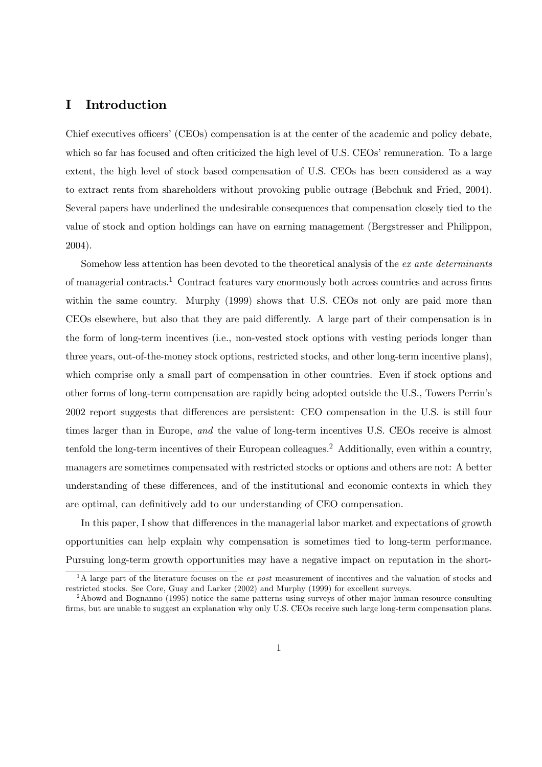## I Introduction

Chief executives officers' (CEOs) compensation is at the center of the academic and policy debate, which so far has focused and often criticized the high level of U.S. CEOs' remuneration. To a large extent, the high level of stock based compensation of U.S. CEOs has been considered as a way to extract rents from shareholders without provoking public outrage (Bebchuk and Fried, 2004). Several papers have underlined the undesirable consequences that compensation closely tied to the value of stock and option holdings can have on earning management (Bergstresser and Philippon, 2004).

Somehow less attention has been devoted to the theoretical analysis of the ex ante determinants of managerial contracts.1 Contract features vary enormously both across countries and across firms within the same country. Murphy (1999) shows that U.S. CEOs not only are paid more than CEOs elsewhere, but also that they are paid differently. A large part of their compensation is in the form of long-term incentives (i.e., non-vested stock options with vesting periods longer than three years, out-of-the-money stock options, restricted stocks, and other long-term incentive plans), which comprise only a small part of compensation in other countries. Even if stock options and other forms of long-term compensation are rapidly being adopted outside the U.S., Towers Perrin's 2002 report suggests that differences are persistent: CEO compensation in the U.S. is still four times larger than in Europe, and the value of long-term incentives U.S. CEOs receive is almost tenfold the long-term incentives of their European colleagues.2 Additionally, even within a country, managers are sometimes compensated with restricted stocks or options and others are not: A better understanding of these differences, and of the institutional and economic contexts in which they are optimal, can definitively add to our understanding of CEO compensation.

In this paper, I show that differences in the managerial labor market and expectations of growth opportunities can help explain why compensation is sometimes tied to long-term performance. Pursuing long-term growth opportunities may have a negative impact on reputation in the short-

<sup>&</sup>lt;sup>1</sup>A large part of the literature focuses on the ex post measurement of incentives and the valuation of stocks and restricted stocks. See Core, Guay and Larker (2002) and Murphy (1999) for excellent surveys.

<sup>&</sup>lt;sup>2</sup>Abowd and Bognanno (1995) notice the same patterns using surveys of other major human resource consulting firms, but are unable to suggest an explanation why only U.S. CEOs receive such large long-term compensation plans.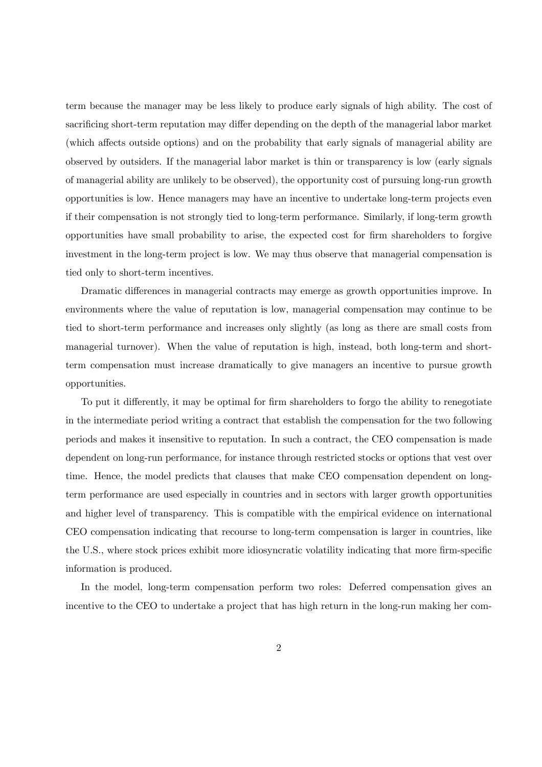term because the manager may be less likely to produce early signals of high ability. The cost of sacrificing short-term reputation may differ depending on the depth of the managerial labor market (which affects outside options) and on the probability that early signals of managerial ability are observed by outsiders. If the managerial labor market is thin or transparency is low (early signals of managerial ability are unlikely to be observed), the opportunity cost of pursuing long-run growth opportunities is low. Hence managers may have an incentive to undertake long-term projects even if their compensation is not strongly tied to long-term performance. Similarly, if long-term growth opportunities have small probability to arise, the expected cost for firm shareholders to forgive investment in the long-term project is low. We may thus observe that managerial compensation is tied only to short-term incentives.

Dramatic differences in managerial contracts may emerge as growth opportunities improve. In environments where the value of reputation is low, managerial compensation may continue to be tied to short-term performance and increases only slightly (as long as there are small costs from managerial turnover). When the value of reputation is high, instead, both long-term and shortterm compensation must increase dramatically to give managers an incentive to pursue growth opportunities.

To put it differently, it may be optimal for firm shareholders to forgo the ability to renegotiate in the intermediate period writing a contract that establish the compensation for the two following periods and makes it insensitive to reputation. In such a contract, the CEO compensation is made dependent on long-run performance, for instance through restricted stocks or options that vest over time. Hence, the model predicts that clauses that make CEO compensation dependent on longterm performance are used especially in countries and in sectors with larger growth opportunities and higher level of transparency. This is compatible with the empirical evidence on international CEO compensation indicating that recourse to long-term compensation is larger in countries, like the U.S., where stock prices exhibit more idiosyncratic volatility indicating that more firm-specific information is produced.

In the model, long-term compensation perform two roles: Deferred compensation gives an incentive to the CEO to undertake a project that has high return in the long-run making her com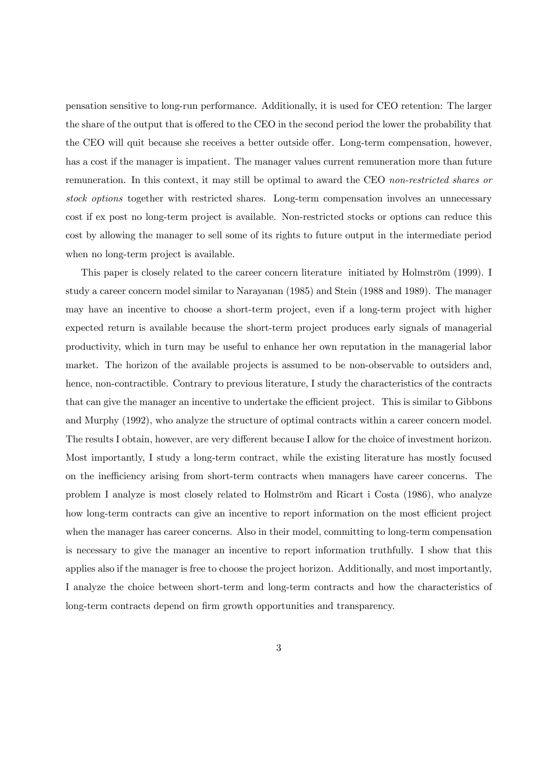pensation sensitive to long-run performance. Additionally, it is used for CEO retention: The larger the share of the output that is offered to the CEO in the second period the lower the probability that the CEO will quit because she receives a better outside offer. Long-term compensation, however, has a cost if the manager is impatient. The manager values current remuneration more than future remuneration. In this context, it may still be optimal to award the CEO non-restricted shares or stock options together with restricted shares. Long-term compensation involves an unnecessary cost if ex post no long-term project is available. Non-restricted stocks or options can reduce this cost by allowing the manager to sell some of its rights to future output in the intermediate period when no long-term project is available.

This paper is closely related to the career concern literature initiated by Holmström (1999). I study a career concern model similar to Narayanan (1985) and Stein (1988 and 1989). The manager may have an incentive to choose a short-term project, even if a long-term project with higher expected return is available because the short-term project produces early signals of managerial productivity, which in turn may be useful to enhance her own reputation in the managerial labor market. The horizon of the available projects is assumed to be non-observable to outsiders and, hence, non-contractible. Contrary to previous literature, I study the characteristics of the contracts that can give the manager an incentive to undertake the efficient project. This is similar to Gibbons and Murphy (1992), who analyze the structure of optimal contracts within a career concern model. The results I obtain, however, are very different because I allow for the choice of investment horizon. Most importantly, I study a long-term contract, while the existing literature has mostly focused on the inefficiency arising from short-term contracts when managers have career concerns. The problem I analyze is most closely related to Holmström and Ricart i Costa (1986), who analyze how long-term contracts can give an incentive to report information on the most efficient project when the manager has career concerns. Also in their model, committing to long-term compensation is necessary to give the manager an incentive to report information truthfully. I show that this applies also if the manager is free to choose the project horizon. Additionally, and most importantly, I analyze the choice between short-term and long-term contracts and how the characteristics of long-term contracts depend on firm growth opportunities and transparency.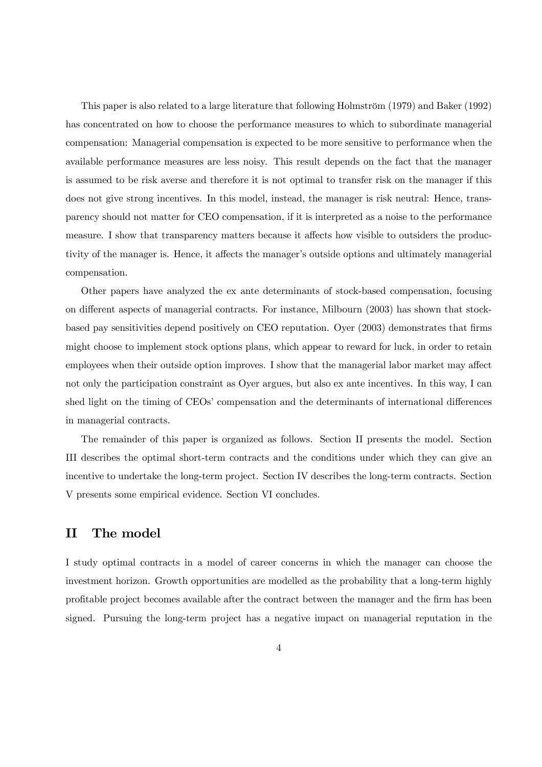This paper is also related to a large literature that following Holmström (1979) and Baker (1992) has concentrated on how to choose the performance measures to which to subordinate managerial compensation: Managerial compensation is expected to be more sensitive to performance when the available performance measures are less noisy. This result depends on the fact that the manager is assumed to be risk averse and therefore it is not optimal to transfer risk on the manager if this does not give strong incentives. In this model, instead, the manager is risk neutral: Hence, transparency should not matter for CEO compensation, if it is interpreted as a noise to the performance measure. I show that transparency matters because it affects how visible to outsiders the productivity of the manager is. Hence, it affects the manager's outside options and ultimately managerial compensation.

Other papers have analyzed the ex ante determinants of stock-based compensation, focusing on different aspects of managerial contracts. For instance, Milbourn (2003) has shown that stockbased pay sensitivities depend positively on CEO reputation. Oyer (2003) demonstrates that firms might choose to implement stock options plans, which appear to reward for luck, in order to retain employees when their outside option improves. I show that the managerial labor market may affect not only the participation constraint as Oyer argues, but also ex ante incentives. In this way, I can shed light on the timing of CEOs' compensation and the determinants of international differences in managerial contracts.

The remainder of this paper is organized as follows. Section II presents the model. Section III describes the optimal short-term contracts and the conditions under which they can give an incentive to undertake the long-term project. Section IV describes the long-term contracts. Section V presents some empirical evidence. Section VI concludes.

## II The model

I study optimal contracts in a model of career concerns in which the manager can choose the investment horizon. Growth opportunities are modelled as the probability that a long-term highly profitable project becomes available after the contract between the manager and the firm has been signed. Pursuing the long-term project has a negative impact on managerial reputation in the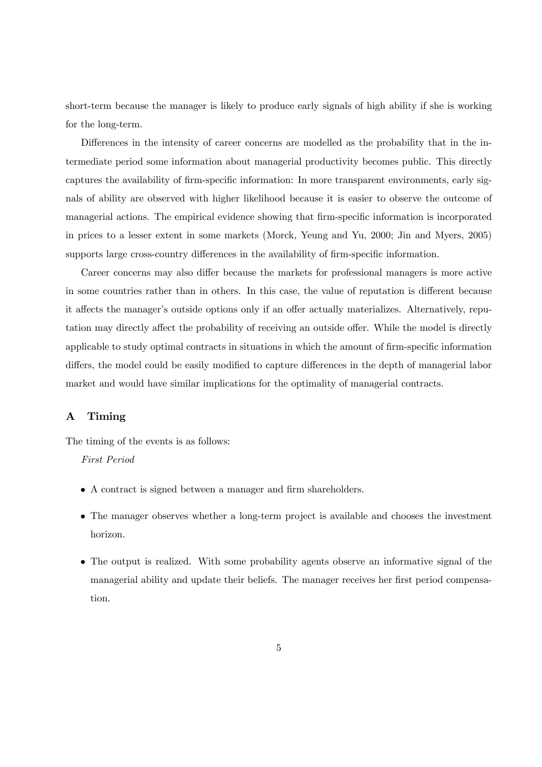short-term because the manager is likely to produce early signals of high ability if she is working for the long-term.

Differences in the intensity of career concerns are modelled as the probability that in the intermediate period some information about managerial productivity becomes public. This directly captures the availability of firm-specific information: In more transparent environments, early signals of ability are observed with higher likelihood because it is easier to observe the outcome of managerial actions. The empirical evidence showing that firm-specific information is incorporated in prices to a lesser extent in some markets (Morck, Yeung and Yu, 2000; Jin and Myers, 2005) supports large cross-country differences in the availability of firm-specific information.

Career concerns may also differ because the markets for professional managers is more active in some countries rather than in others. In this case, the value of reputation is different because it affects the manager's outside options only if an offer actually materializes. Alternatively, reputation may directly affect the probability of receiving an outside offer. While the model is directly applicable to study optimal contracts in situations in which the amount of firm-specific information differs, the model could be easily modified to capture differences in the depth of managerial labor market and would have similar implications for the optimality of managerial contracts.

## A Timing

The timing of the events is as follows:

#### First Period

- A contract is signed between a manager and firm shareholders.
- The manager observes whether a long-term project is available and chooses the investment horizon.
- The output is realized. With some probability agents observe an informative signal of the managerial ability and update their beliefs. The manager receives her first period compensation.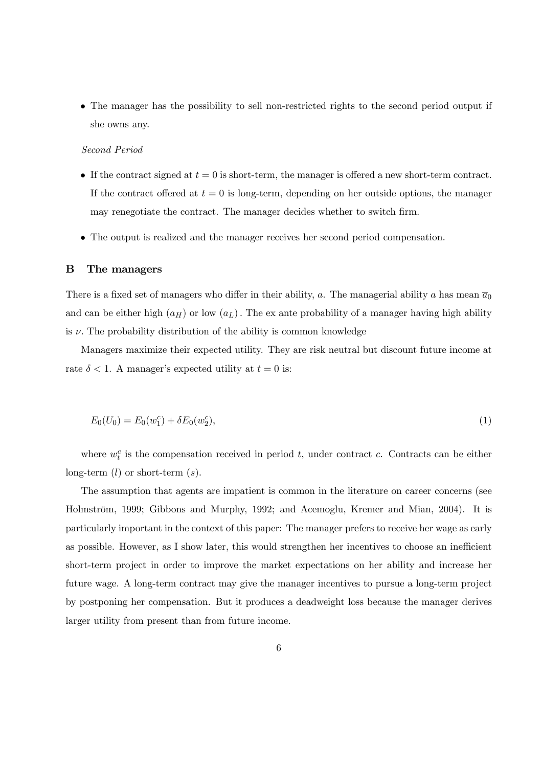• The manager has the possibility to sell non-restricted rights to the second period output if she owns any.

#### Second Period

- If the contract signed at  $t = 0$  is short-term, the manager is offered a new short-term contract. If the contract offered at  $t = 0$  is long-term, depending on her outside options, the manager may renegotiate the contract. The manager decides whether to switch firm.
- The output is realized and the manager receives her second period compensation.

#### B The managers

There is a fixed set of managers who differ in their ability, a. The managerial ability a has mean  $\overline{a}_0$ and can be either high  $(a_H)$  or low  $(a_L)$ . The ex ante probability of a manager having high ability is  $\nu$ . The probability distribution of the ability is common knowledge

Managers maximize their expected utility. They are risk neutral but discount future income at rate  $\delta$  < 1. A manager's expected utility at  $t = 0$  is:

$$
E_0(U_0) = E_0(w_1^c) + \delta E_0(w_2^c), \tag{1}
$$

where  $w_t^c$  is the compensation received in period t, under contract c. Contracts can be either long-term  $(l)$  or short-term  $(s)$ .

The assumption that agents are impatient is common in the literature on career concerns (see Holmström, 1999; Gibbons and Murphy, 1992; and Acemoglu, Kremer and Mian, 2004). It is particularly important in the context of this paper: The manager prefers to receive her wage as early as possible. However, as I show later, this would strengthen her incentives to choose an inefficient short-term project in order to improve the market expectations on her ability and increase her future wage. A long-term contract may give the manager incentives to pursue a long-term project by postponing her compensation. But it produces a deadweight loss because the manager derives larger utility from present than from future income.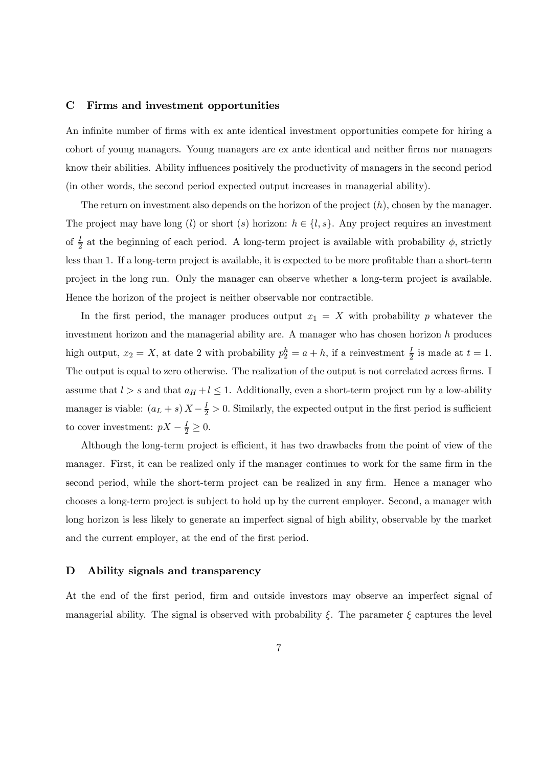## C Firms and investment opportunities

An infinite number of firms with ex ante identical investment opportunities compete for hiring a cohort of young managers. Young managers are ex ante identical and neither firms nor managers know their abilities. Ability influences positively the productivity of managers in the second period (in other words, the second period expected output increases in managerial ability).

The return on investment also depends on the horizon of the project  $(h)$ , chosen by the manager. The project may have long (l) or short (s) horizon:  $h \in \{l, s\}$ . Any project requires an investment of  $\frac{I}{2}$  at the beginning of each period. A long-term project is available with probability  $\phi$ , strictly less than 1. If a long-term project is available, it is expected to be more profitable than a short-term project in the long run. Only the manager can observe whether a long-term project is available. Hence the horizon of the project is neither observable nor contractible.

In the first period, the manager produces output  $x_1 = X$  with probability p whatever the investment horizon and the managerial ability are. A manager who has chosen horizon  $h$  produces high output,  $x_2 = X$ , at date 2 with probability  $p_2^h = a + h$ , if a reinvestment  $\frac{I}{2}$  is made at  $t = 1$ . The output is equal to zero otherwise. The realization of the output is not correlated across firms. I assume that  $l > s$  and that  $a_H + l \leq 1$ . Additionally, even a short-term project run by a low-ability manager is viable:  $(a_L + s) X - \frac{I}{2} > 0$ . Similarly, the expected output in the first period is sufficient to cover investment:  $pX - \frac{1}{2} \geq 0$ .

Although the long-term project is efficient, it has two drawbacks from the point of view of the manager. First, it can be realized only if the manager continues to work for the same firm in the second period, while the short-term project can be realized in any firm. Hence a manager who chooses a long-term project is subject to hold up by the current employer. Second, a manager with long horizon is less likely to generate an imperfect signal of high ability, observable by the market and the current employer, at the end of the first period.

#### D Ability signals and transparency

At the end of the first period, firm and outside investors may observe an imperfect signal of managerial ability. The signal is observed with probability  $\xi$ . The parameter  $\xi$  captures the level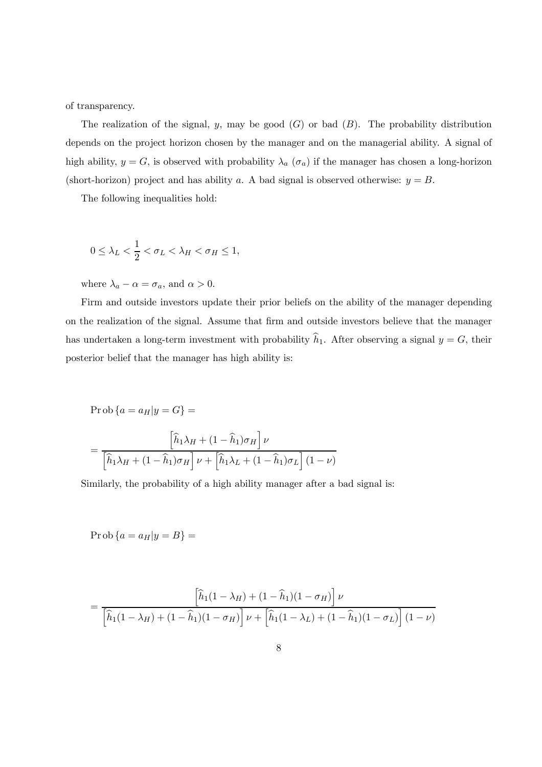of transparency.

The realization of the signal, y, may be good  $(G)$  or bad  $(B)$ . The probability distribution depends on the project horizon chosen by the manager and on the managerial ability. A signal of high ability,  $y = G$ , is observed with probability  $\lambda_a$  ( $\sigma_a$ ) if the manager has chosen a long-horizon (short-horizon) project and has ability a. A bad signal is observed otherwise:  $y = B$ .

The following inequalities hold:

$$
0 \leq \lambda_L < \frac{1}{2} < \sigma_L < \lambda_H < \sigma_H \leq 1,
$$

where  $\lambda_a - \alpha = \sigma_a$ , and  $\alpha > 0$ .

Firm and outside investors update their prior beliefs on the ability of the manager depending on the realization of the signal. Assume that firm and outside investors believe that the manager has undertaken a long-term investment with probability  $h_1$ . After observing a signal  $y = G$ , their posterior belief that the manager has high ability is:

$$
\Pr \text{ob}\left\{a = a_H|y = G\right\} = \frac{\left[\hat{h}_1\lambda_H + (1 - \hat{h}_1)\sigma_H\right]\nu}{\left[\hat{h}_1\lambda_H + (1 - \hat{h}_1)\sigma_H\right]\nu + \left[\hat{h}_1\lambda_L + (1 - \hat{h}_1)\sigma_L\right](1 - \nu)}
$$

Similarly, the probability of a high ability manager after a bad signal is:

 $\text{Prob}\left\{a = a_H|y = B\right\} =$ 

$$
= \frac{\left[\widehat{h}_1(1-\lambda_H) + (1-\widehat{h}_1)(1-\sigma_H)\right]\nu}{\left[\widehat{h}_1(1-\lambda_H) + (1-\widehat{h}_1)(1-\sigma_H)\right]\nu + \left[\widehat{h}_1(1-\lambda_L) + (1-\widehat{h}_1)(1-\sigma_L)\right](1-\nu)}
$$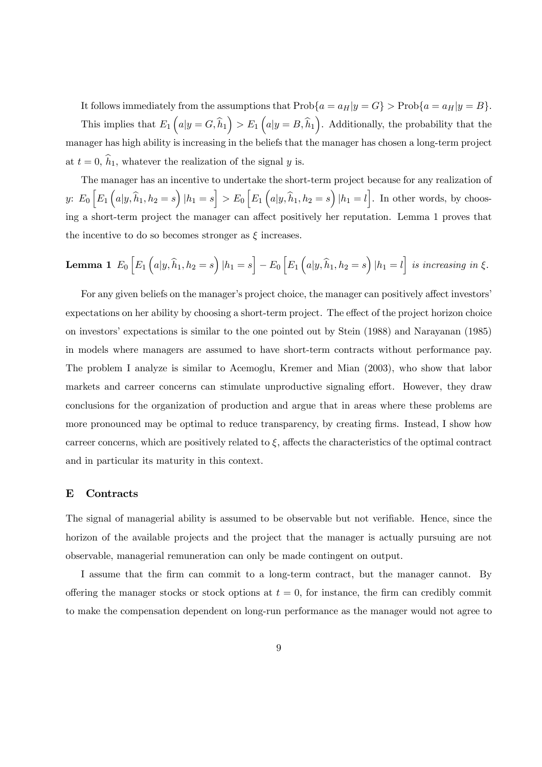It follows immediately from the assumptions that  $\text{Prob}\{a = a_H|y = G\} > \text{Prob}\{a = a_H|y = B\}.$ This implies that  $E_1\left(a|y=G,\widehat{h}_1\right) > E_1\left(a|y=B,\widehat{h}_1\right)$ . Additionally, the probability that the manager has high ability is increasing in the beliefs that the manager has chosen a long-term project at  $t = 0$ ,  $h_1$ , whatever the realization of the signal y is.

The manager has an incentive to undertake the short-term project because for any realization of y:  $E_0 \left[ E_1 \left( a | y, \hat{h}_1, h_2 = s \right) | h_1 = s \right] > E_0 \left[ E_1 \left( a | y, \hat{h}_1, h_2 = s \right) | h_1 = l \right]$ . In other words, by choosing a short-term project the manager can affect positively her reputation. Lemma 1 proves that the incentive to do so becomes stronger as  $\xi$  increases.

**Lemma 1** 
$$
E_0
$$
  $\left[E_1\left(a|y,\hat{h}_1,h_2=s\right)|h_1=s\right]-E_0\left[E_1\left(a|y,\hat{h}_1,h_2=s\right)|h_1=l\right]$  is increasing in  $\xi$ .

For any given beliefs on the manager's project choice, the manager can positively affect investors' expectations on her ability by choosing a short-term project. The effect of the project horizon choice on investors' expectations is similar to the one pointed out by Stein (1988) and Narayanan (1985) in models where managers are assumed to have short-term contracts without performance pay. The problem I analyze is similar to Acemoglu, Kremer and Mian (2003), who show that labor markets and carreer concerns can stimulate unproductive signaling effort. However, they draw conclusions for the organization of production and argue that in areas where these problems are more pronounced may be optimal to reduce transparency, by creating firms. Instead, I show how carreer concerns, which are positively related to  $\xi$ , affects the characteristics of the optimal contract and in particular its maturity in this context.

## E Contracts

The signal of managerial ability is assumed to be observable but not verifiable. Hence, since the horizon of the available projects and the project that the manager is actually pursuing are not observable, managerial remuneration can only be made contingent on output.

I assume that the firm can commit to a long-term contract, but the manager cannot. By offering the manager stocks or stock options at  $t = 0$ , for instance, the firm can credibly commit to make the compensation dependent on long-run performance as the manager would not agree to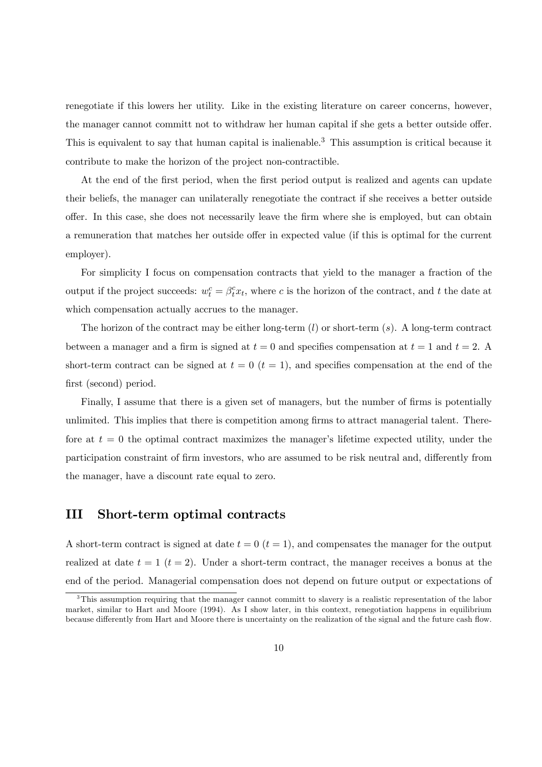renegotiate if this lowers her utility. Like in the existing literature on career concerns, however, the manager cannot committ not to withdraw her human capital if she gets a better outside offer. This is equivalent to say that human capital is inalienable.<sup>3</sup> This assumption is critical because it contribute to make the horizon of the project non-contractible.

At the end of the first period, when the first period output is realized and agents can update their beliefs, the manager can unilaterally renegotiate the contract if she receives a better outside offer. In this case, she does not necessarily leave the firm where she is employed, but can obtain a remuneration that matches her outside offer in expected value (if this is optimal for the current employer).

For simplicity I focus on compensation contracts that yield to the manager a fraction of the output if the project succeeds:  $w_t^c = \beta_t^c x_t$ , where c is the horizon of the contract, and t the date at which compensation actually accrues to the manager.

The horizon of the contract may be either long-term  $(l)$  or short-term  $(s)$ . A long-term contract between a manager and a firm is signed at  $t = 0$  and specifies compensation at  $t = 1$  and  $t = 2$ . short-term contract can be signed at  $t = 0$   $(t = 1)$ , and specifies compensation at the end of the first (second) period.

Finally, I assume that there is a given set of managers, but the number of firms is potentially unlimited. This implies that there is competition among firms to attract managerial talent. Therefore at  $t = 0$  the optimal contract maximizes the manager's lifetime expected utility, under the participation constraint of firm investors, who are assumed to be risk neutral and, differently from the manager, have a discount rate equal to zero.

## III Short-term optimal contracts

A short-term contract is signed at date  $t = 0$   $(t = 1)$ , and compensates the manager for the output realized at date  $t = 1$  ( $t = 2$ ). Under a short-term contract, the manager receives a bonus at the end of the period. Managerial compensation does not depend on future output or expectations of

<sup>&</sup>lt;sup>3</sup>This assumption requiring that the manager cannot committ to slavery is a realistic representation of the labor market, similar to Hart and Moore (1994). As I show later, in this context, renegotiation happens in equilibrium because differently from Hart and Moore there is uncertainty on the realization of the signal and the future cash flow.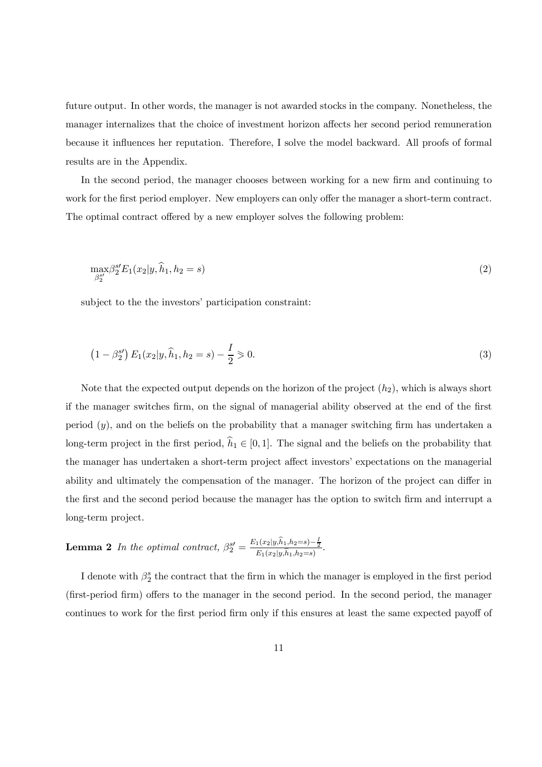future output. In other words, the manager is not awarded stocks in the company. Nonetheless, the manager internalizes that the choice of investment horizon affects her second period remuneration because it influences her reputation. Therefore, I solve the model backward. All proofs of formal results are in the Appendix.

In the second period, the manager chooses between working for a new firm and continuing to work for the first period employer. New employers can only offer the manager a short-term contract. The optimal contract offered by a new employer solves the following problem:

$$
\max_{\beta_2^{s'}} \beta_2^{s'} E_1(x_2 | y, \hat{h}_1, h_2 = s)
$$
\n(2)

subject to the the investors' participation constraint:

$$
(1 - \beta_2^{s}) E_1(x_2 | y, \hat{h}_1, h_2 = s) - \frac{I}{2} \ge 0.
$$
\n(3)

Note that the expected output depends on the horizon of the project  $(h_2)$ , which is always short if the manager switches firm, on the signal of managerial ability observed at the end of the first period (y), and on the beliefs on the probability that a manager switching firm has undertaken a long-term project in the first period,  $h_1 \in [0, 1]$ . The signal and the beliefs on the probability that the manager has undertaken a short-term project affect investors' expectations on the managerial ability and ultimately the compensation of the manager. The horizon of the project can differ in the first and the second period because the manager has the option to switch firm and interrupt a long-term project.

**Lemma 2** In the optimal contract, 
$$
\beta_2^{s'} = \frac{E_1(x_2|y,\hat{h}_1,h_2=s) - \frac{1}{2}}{E_1(x_2|y,\hat{h}_1,h_2=s)}
$$
.

I denote with  $\beta_2^s$  the contract that the firm in which the manager is employed in the first period (first-period firm) offers to the manager in the second period. In the second period, the manager continues to work for the first period firm only if this ensures at least the same expected payoff of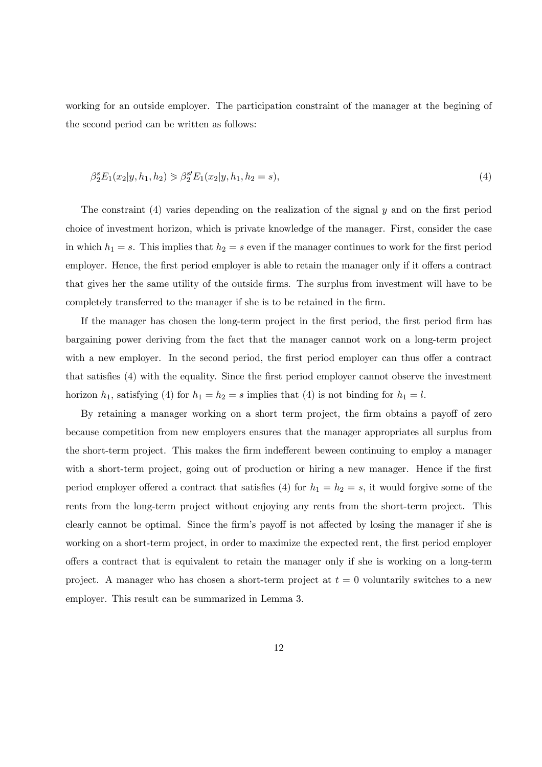working for an outside employer. The participation constraint of the manager at the begining of the second period can be written as follows:

$$
\beta_2^s E_1(x_2|y, h_1, h_2) \geq \beta_2^{s'} E_1(x_2|y, h_1, h_2 = s),\tag{4}
$$

The constraint (4) varies depending on the realization of the signal y and on the first period choice of investment horizon, which is private knowledge of the manager. First, consider the case in which  $h_1 = s$ . This implies that  $h_2 = s$  even if the manager continues to work for the first period employer. Hence, the first period employer is able to retain the manager only if it offers a contract that gives her the same utility of the outside firms. The surplus from investment will have to be completely transferred to the manager if she is to be retained in the firm.

If the manager has chosen the long-term project in the first period, the first period firm has bargaining power deriving from the fact that the manager cannot work on a long-term project with a new employer. In the second period, the first period employer can thus offer a contract that satisfies (4) with the equality. Since the first period employer cannot observe the investment horizon  $h_1$ , satisfying (4) for  $h_1 = h_2 = s$  implies that (4) is not binding for  $h_1 = l$ .

By retaining a manager working on a short term project, the firm obtains a payoff of zero because competition from new employers ensures that the manager appropriates all surplus from the short-term project. This makes the firm indefferent beween continuing to employ a manager with a short-term project, going out of production or hiring a new manager. Hence if the first period employer offered a contract that satisfies (4) for  $h_1 = h_2 = s$ , it would forgive some of the rents from the long-term project without enjoying any rents from the short-term project. This clearly cannot be optimal. Since the firm's payoff is not affected by losing the manager if she is working on a short-term project, in order to maximize the expected rent, the first period employer offers a contract that is equivalent to retain the manager only if she is working on a long-term project. A manager who has chosen a short-term project at  $t = 0$  voluntarily switches to a new employer. This result can be summarized in Lemma 3.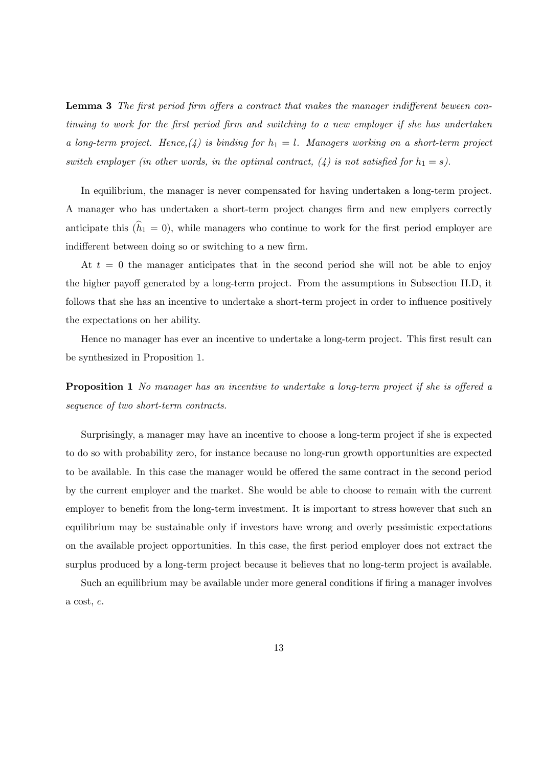Lemma 3 The first period firm offers a contract that makes the manager indifferent beween continuing to work for the first period firm and switching to a new employer if she has undertaken a long-term project. Hence, (4) is binding for  $h_1 = l$ . Managers working on a short-term project switch employer (in other words, in the optimal contract,  $(4)$  is not satisfied for  $h_1 = s$ ).

In equilibrium, the manager is never compensated for having undertaken a long-term project. A manager who has undertaken a short-term project changes firm and new emplyers correctly anticipate this  $(h_1 = 0)$ , while managers who continue to work for the first period employer are indifferent between doing so or switching to a new firm.

At  $t = 0$  the manager anticipates that in the second period she will not be able to enjoy the higher payoff generated by a long-term project. From the assumptions in Subsection II.D, it follows that she has an incentive to undertake a short-term project in order to influence positively the expectations on her ability.

Hence no manager has ever an incentive to undertake a long-term project. This first result can be synthesized in Proposition 1.

**Proposition 1** No manager has an incentive to undertake a long-term project if she is offered a sequence of two short-term contracts.

Surprisingly, a manager may have an incentive to choose a long-term project if she is expected to do so with probability zero, for instance because no long-run growth opportunities are expected to be available. In this case the manager would be offered the same contract in the second period by the current employer and the market. She would be able to choose to remain with the current employer to benefit from the long-term investment. It is important to stress however that such an equilibrium may be sustainable only if investors have wrong and overly pessimistic expectations on the available project opportunities. In this case, the first period employer does not extract the surplus produced by a long-term project because it believes that no long-term project is available.

Such an equilibrium may be available under more general conditions if firing a manager involves a cost, c.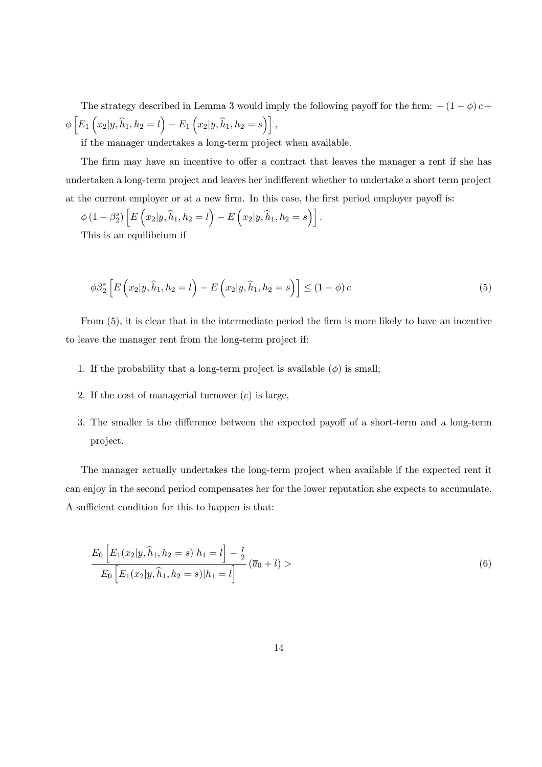The strategy described in Lemma 3 would imply the following payoff for the firm:  $-(1 - \phi)c +$  $\phi\left[E_{1}\left(x_{2}|y,\widehat{h}_{1},h_{2}=l\right)-E_{1}\left(x_{2}|y,\widehat{h}_{1},h_{2}=s\right)\right],$ 

if the manager undertakes a long-term project when available.

The firm may have an incentive to offer a contract that leaves the manager a rent if she has undertaken a long-term project and leaves her indifferent whether to undertake a short term project at the current employer or at a new firm. In this case, the first period employer payoff is:

$$
\phi(1-\beta_2^s)\left[E\left(x_2|y,\hat{h}_1,h_2=l\right)-E\left(x_2|y,\hat{h}_1,h_2=s\right)\right].
$$

This is an equilibrium if

$$
\phi\beta_2^s \left[ E\left(x_2|y,\hat{h}_1,h_2=l\right) - E\left(x_2|y,\hat{h}_1,h_2=s\right) \right] \leq (1-\phi)c \tag{5}
$$

From (5), it is clear that in the intermediate period the firm is more likely to have an incentive to leave the manager rent from the long-term project if:

- 1. If the probability that a long-term project is available  $(\phi)$  is small;
- 2. If the cost of managerial turnover  $(c)$  is large,
- 3. The smaller is the difference between the expected payoff of a short-term and a long-term project.

The manager actually undertakes the long-term project when available if the expected rent it can enjoy in the second period compensates her for the lower reputation she expects to accumulate. A sufficient condition for this to happen is that:

$$
\frac{E_0\left[E_1(x_2|y,\hat{h}_1,h_2=s)|h_1=l\right]-\frac{I}{2}}{E_0\left[E_1(x_2|y,\hat{h}_1,h_2=s)|h_1=l\right]} \left(\overline{a}_0+l\right) >\n\tag{6}
$$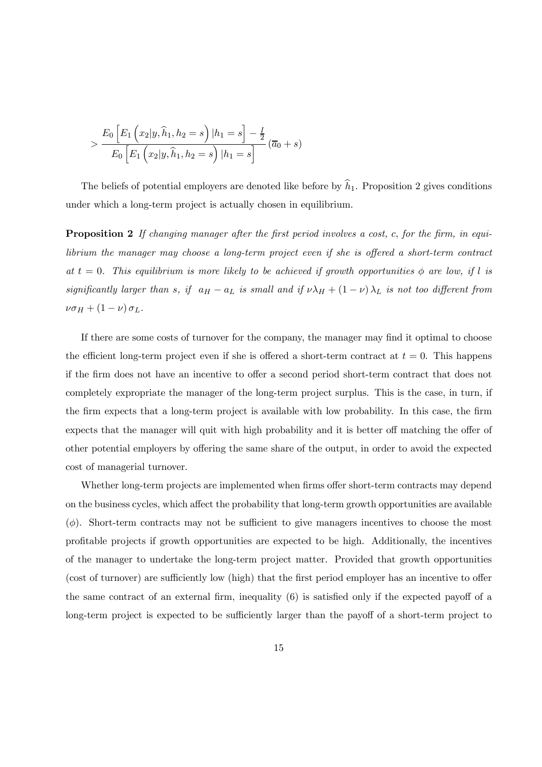$$
> \frac{E_0 \left[ E_1 \left( x_2 | y, \hat{h}_1, h_2 = s \right) | h_1 = s \right] - \frac{I}{2}}{E_0 \left[ E_1 \left( x_2 | y, \hat{h}_1, h_2 = s \right) | h_1 = s \right]} (\overline{a}_0 + s)
$$

The beliefs of potential employers are denoted like before by  $h_1$ . Proposition 2 gives conditions under which a long-term project is actually chosen in equilibrium.

Proposition 2 If changing manager after the first period involves a cost, c, for the firm, in equilibrium the manager may choose a long-term project even if she is offered a short-term contract at  $t = 0$ . This equilibrium is more likely to be achieved if growth opportunities  $\phi$  are low, if l is significantly larger than s, if  $a_H - a_L$  is small and if  $\nu \lambda_H + (1 - \nu) \lambda_L$  is not too different from  $\nu\sigma_H + (1-\nu)\sigma_L$ .

If there are some costs of turnover for the company, the manager may find it optimal to choose the efficient long-term project even if she is offered a short-term contract at  $t = 0$ . This happens if the firm does not have an incentive to offer a second period short-term contract that does not completely expropriate the manager of the long-term project surplus. This is the case, in turn, if the firm expects that a long-term project is available with low probability. In this case, the firm expects that the manager will quit with high probability and it is better off matching the offer of other potential employers by offering the same share of the output, in order to avoid the expected cost of managerial turnover.

Whether long-term projects are implemented when firms offer short-term contracts may depend on the business cycles, which affect the probability that long-term growth opportunities are available  $(\phi)$ . Short-term contracts may not be sufficient to give managers incentives to choose the most profitable projects if growth opportunities are expected to be high. Additionally, the incentives of the manager to undertake the long-term project matter. Provided that growth opportunities (cost of turnover) are sufficiently low (high) that the first period employer has an incentive to offer the same contract of an external firm, inequality (6) is satisfied only if the expected payoff of a long-term project is expected to be sufficiently larger than the payoff of a short-term project to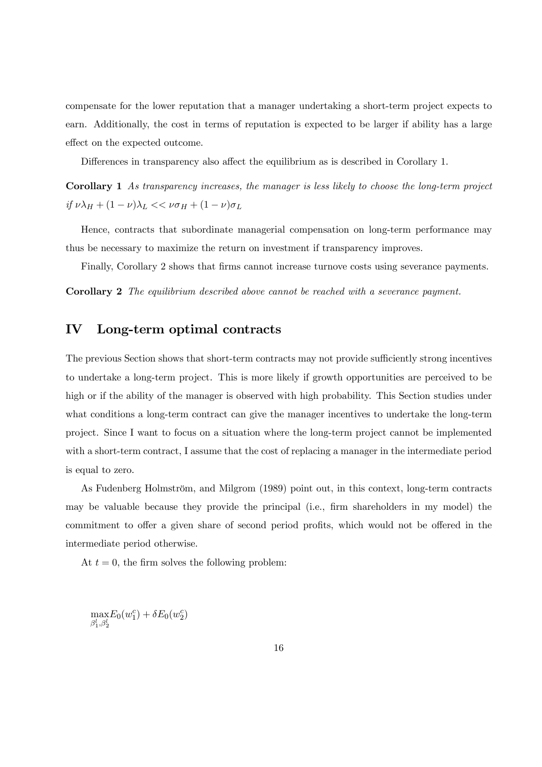compensate for the lower reputation that a manager undertaking a short-term project expects to earn. Additionally, the cost in terms of reputation is expected to be larger if ability has a large effect on the expected outcome.

Differences in transparency also affect the equilibrium as is described in Corollary 1.

Corollary 1 As transparency increases, the manager is less likely to choose the long-term project if  $\nu \lambda_H + (1-\nu) \lambda_L << \nu \sigma_H + (1-\nu) \sigma_L$ 

Hence, contracts that subordinate managerial compensation on long-term performance may thus be necessary to maximize the return on investment if transparency improves.

Finally, Corollary 2 shows that firms cannot increase turnove costs using severance payments.

Corollary 2 The equilibrium described above cannot be reached with a severance payment.

## IV Long-term optimal contracts

The previous Section shows that short-term contracts may not provide sufficiently strong incentives to undertake a long-term project. This is more likely if growth opportunities are perceived to be high or if the ability of the manager is observed with high probability. This Section studies under what conditions a long-term contract can give the manager incentives to undertake the long-term project. Since I want to focus on a situation where the long-term project cannot be implemented with a short-term contract, I assume that the cost of replacing a manager in the intermediate period is equal to zero.

As Fudenberg Holmström, and Milgrom (1989) point out, in this context, long-term contracts may be valuable because they provide the principal (i.e., firm shareholders in my model) the commitment to offer a given share of second period profits, which would not be offered in the intermediate period otherwise.

At  $t = 0$ , the firm solves the following problem:

max  $\beta_1^l,\beta_2^l$  $E_0(w_1^c) + \delta E_0(w_2^c)$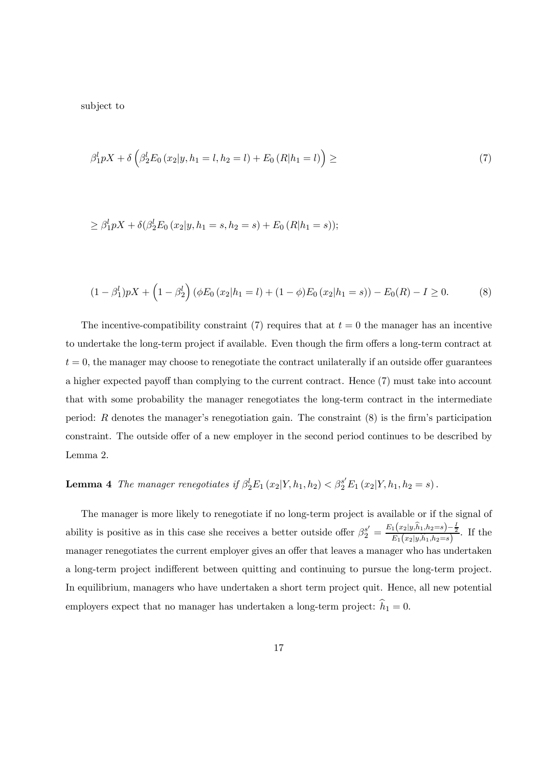subject to

$$
\beta_1^l pX + \delta \left( \beta_2^l E_0(x_2 | y, h_1 = l, h_2 = l) + E_0 (R|h_1 = l) \right) \geq (7)
$$

$$
\geq \beta_1^l pX + \delta(\beta_2^l E_0(x_2|y, h_1 = s, h_2 = s) + E_0(R|h_1 = s));
$$

$$
(1 - \beta_1^l)pX + \left(1 - \beta_2^l\right)(\phi E_0(x_2|h_1 = l) + (1 - \phi)E_0(x_2|h_1 = s)) - E_0(R) - I \ge 0.
$$
 (8)

The incentive-compatibility constraint (7) requires that at  $t = 0$  the manager has an incentive to undertake the long-term project if available. Even though the firm offers a long-term contract at  $t = 0$ , the manager may choose to renegotiate the contract unilaterally if an outside offer guarantees a higher expected payoff than complying to the current contract. Hence (7) must take into account that with some probability the manager renegotiates the long-term contract in the intermediate period:  $R$  denotes the manager's renegotiation gain. The constraint  $(8)$  is the firm's participation constraint. The outside offer of a new employer in the second period continues to be described by Lemma 2.

## **Lemma 4** The manager renegotiates if  $\beta_2^l E_1(x_2|Y, h_1, h_2) < \beta_2^{s'} E_1(x_2|Y, h_1, h_2 = s)$ .

The manager is more likely to renegotiate if no long-term project is available or if the signal of ability is positive as in this case she receives a better outside offer  $\beta_2^{s'} = \frac{E_1(x_2|y,\hat{h}_1,h_2=s) - \frac{1}{2}}{E_1(x_2|y,\hat{h}_1,h_2=s)}$ . If the manager renegotiates the current employer gives an offer that leaves a manager who has undertaken a long-term project indifferent between quitting and continuing to pursue the long-term project. In equilibrium, managers who have undertaken a short term project quit. Hence, all new potential employers expect that no manager has undertaken a long-term project:  $h_1 = 0$ .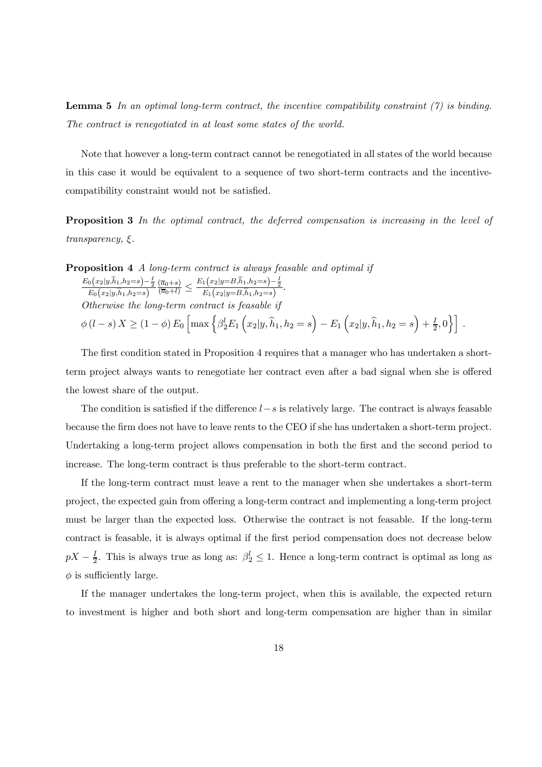**Lemma 5** In an optimal long-term contract, the incentive compatibility constraint  $(7)$  is binding. The contract is renegotiated in at least some states of the world.

Note that however a long-term contract cannot be renegotiated in all states of the world because in this case it would be equivalent to a sequence of two short-term contracts and the incentivecompatibility constraint would not be satisfied.

Proposition 3 In the optimal contract, the deferred compensation is increasing in the level of transparency, ξ.

**Proposition 4** A long-term contract is always feasable and optimal if  $E_0(x_2|y,\hat{h}_1,h_2=s)-\frac{I}{2}$ <br> $E_0(x_2|y,\hat{h}_1,h_2=s)$  $\frac{(\overline{a}_0+s)}{(\overline{a}_0+l)} \leq \frac{E_1(x_2|y=B,\hat{h}_1,h_2=s)-\frac{1}{2}}{E_1(x_2|y=B,\hat{h}_1,h_2=s)}.$ Otherwise the long-term contract is feasable if  $\phi\left(l-s\right)X \geq\left(1-\phi\right)E_{0}\left[\max\left\{\beta_{2}^{l}E_{1}\left(x_{2}|y,\widehat{h}_{1},h_{2}=s\right)-E_{1}\left(x_{2}|y,\widehat{h}_{1},h_{2}=s\right)+\frac{I}{2},0\right\}\right]\,.$ 

The first condition stated in Proposition 4 requires that a manager who has undertaken a shortterm project always wants to renegotiate her contract even after a bad signal when she is offered the lowest share of the output.

The condition is satisfied if the difference  $l-s$  is relatively large. The contract is always feasable because the firm does not have to leave rents to the CEO if she has undertaken a short-term project. Undertaking a long-term project allows compensation in both the first and the second period to increase. The long-term contract is thus preferable to the short-term contract.

If the long-term contract must leave a rent to the manager when she undertakes a short-term project, the expected gain from offering a long-term contract and implementing a long-term project must be larger than the expected loss. Otherwise the contract is not feasable. If the long-term contract is feasable, it is always optimal if the first period compensation does not decrease below  $pX - \frac{1}{2}$ . This is always true as long as:  $\beta_2^l \leq 1$ . Hence a long-term contract is optimal as long as  $\phi$  is sufficiently large.

If the manager undertakes the long-term project, when this is available, the expected return to investment is higher and both short and long-term compensation are higher than in similar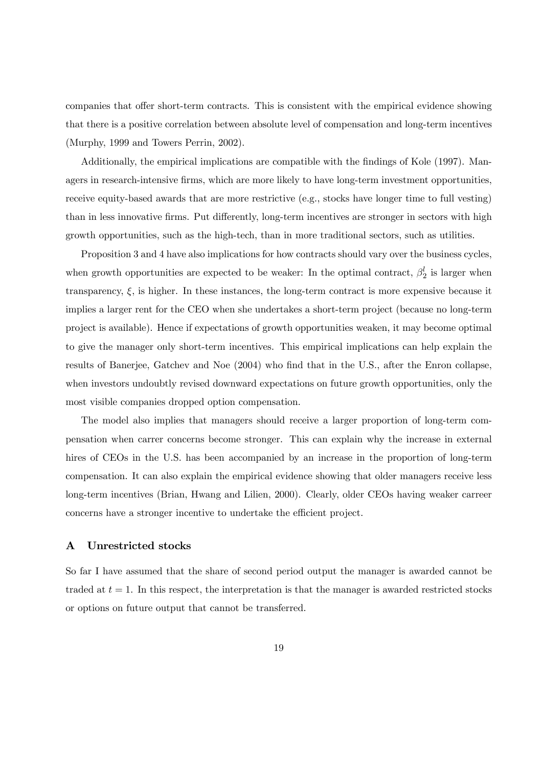companies that offer short-term contracts. This is consistent with the empirical evidence showing that there is a positive correlation between absolute level of compensation and long-term incentives (Murphy, 1999 and Towers Perrin, 2002).

Additionally, the empirical implications are compatible with the findings of Kole (1997). Managers in research-intensive firms, which are more likely to have long-term investment opportunities, receive equity-based awards that are more restrictive (e.g., stocks have longer time to full vesting) than in less innovative firms. Put differently, long-term incentives are stronger in sectors with high growth opportunities, such as the high-tech, than in more traditional sectors, such as utilities.

Proposition 3 and 4 have also implications for how contracts should vary over the business cycles, when growth opportunities are expected to be weaker: In the optimal contract,  $\beta_2^l$  is larger when transparency,  $\xi$ , is higher. In these instances, the long-term contract is more expensive because it implies a larger rent for the CEO when she undertakes a short-term project (because no long-term project is available). Hence if expectations of growth opportunities weaken, it may become optimal to give the manager only short-term incentives. This empirical implications can help explain the results of Banerjee, Gatchev and Noe (2004) who find that in the U.S., after the Enron collapse, when investors undoubtly revised downward expectations on future growth opportunities, only the most visible companies dropped option compensation.

The model also implies that managers should receive a larger proportion of long-term compensation when carrer concerns become stronger. This can explain why the increase in external hires of CEOs in the U.S. has been accompanied by an increase in the proportion of long-term compensation. It can also explain the empirical evidence showing that older managers receive less long-term incentives (Brian, Hwang and Lilien, 2000). Clearly, older CEOs having weaker carreer concerns have a stronger incentive to undertake the efficient project.

#### A Unrestricted stocks

So far I have assumed that the share of second period output the manager is awarded cannot be traded at  $t = 1$ . In this respect, the interpretation is that the manager is awarded restricted stocks or options on future output that cannot be transferred.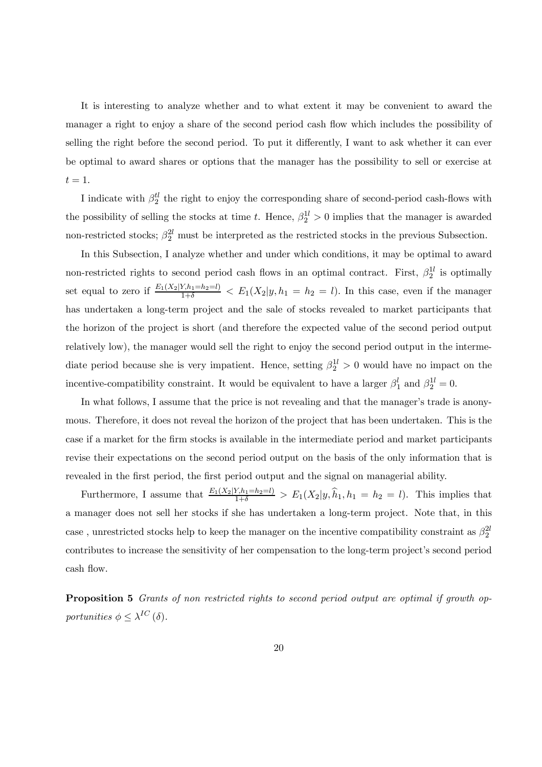It is interesting to analyze whether and to what extent it may be convenient to award the manager a right to enjoy a share of the second period cash flow which includes the possibility of selling the right before the second period. To put it differently, I want to ask whether it can ever be optimal to award shares or options that the manager has the possibility to sell or exercise at  $t=1$ .

I indicate with  $\beta_2^{tl}$  the right to enjoy the corresponding share of second-period cash-flows with the possibility of selling the stocks at time t. Hence,  $\beta_2^{1l} > 0$  implies that the manager is awarded non-restricted stocks;  $\beta_2^{2l}$  must be interpreted as the restricted stocks in the previous Subsection.

In this Subsection, I analyze whether and under which conditions, it may be optimal to award non-restricted rights to second period cash flows in an optimal contract. First,  $\beta_2^{1l}$  is optimally set equal to zero if  $\frac{E_1(X_2|Y_{h1}=h_2=l)}{1+\delta} < E_1(X_2|y, h_1=h_2=l)$ . In this case, even if the manager has undertaken a long-term project and the sale of stocks revealed to market participants that the horizon of the project is short (and therefore the expected value of the second period output relatively low), the manager would sell the right to enjoy the second period output in the intermediate period because she is very impatient. Hence, setting  $\beta_2^{1l} > 0$  would have no impact on the incentive-compatibility constraint. It would be equivalent to have a larger  $\beta_1^l$  and  $\beta_2^{1l} = 0$ .

In what follows, I assume that the price is not revealing and that the manager's trade is anonymous. Therefore, it does not reveal the horizon of the project that has been undertaken. This is the case if a market for the firm stocks is available in the intermediate period and market participants revise their expectations on the second period output on the basis of the only information that is revealed in the first period, the first period output and the signal on managerial ability.

Furthermore, I assume that  $\frac{E_1(X_2|Y,h_1=h_2=l)}{1+\delta} > E_1(X_2|y,\hat{h}_1,h_1=h_2=l)$ . This implies that a manager does not sell her stocks if she has undertaken a long-term project. Note that, in this case, unrestricted stocks help to keep the manager on the incentive compatibility constraint as  $\beta_2^{2l}$ contributes to increase the sensitivity of her compensation to the long-term project's second period cash flow.

Proposition 5 Grants of non restricted rights to second period output are optimal if growth opportunities  $\phi \leq \lambda^{IC}(\delta)$ .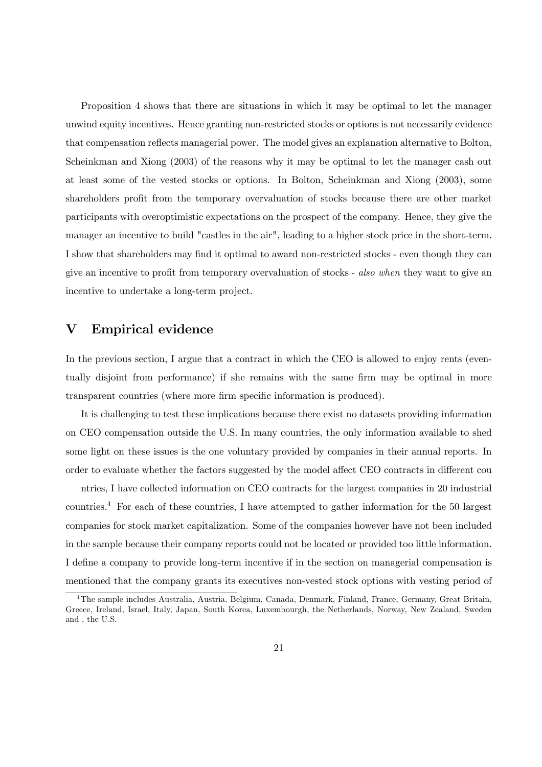Proposition 4 shows that there are situations in which it may be optimal to let the manager unwind equity incentives. Hence granting non-restricted stocks or options is not necessarily evidence that compensation reflects managerial power. The model gives an explanation alternative to Bolton, Scheinkman and Xiong (2003) of the reasons why it may be optimal to let the manager cash out at least some of the vested stocks or options. In Bolton, Scheinkman and Xiong (2003), some shareholders profit from the temporary overvaluation of stocks because there are other market participants with overoptimistic expectations on the prospect of the company. Hence, they give the manager an incentive to build "castles in the air", leading to a higher stock price in the short-term. I show that shareholders may find it optimal to award non-restricted stocks - even though they can give an incentive to profit from temporary overvaluation of stocks - also when they want to give an incentive to undertake a long-term project.

## V Empirical evidence

In the previous section, I argue that a contract in which the CEO is allowed to enjoy rents (eventually disjoint from performance) if she remains with the same firm may be optimal in more transparent countries (where more firm specific information is produced).

It is challenging to test these implications because there exist no datasets providing information on CEO compensation outside the U.S. In many countries, the only information available to shed some light on these issues is the one voluntary provided by companies in their annual reports. In order to evaluate whether the factors suggested by the model affect CEO contracts in different cou

ntries, I have collected information on CEO contracts for the largest companies in 20 industrial countries.<sup>4</sup> For each of these countries, I have attempted to gather information for the 50 largest companies for stock market capitalization. Some of the companies however have not been included in the sample because their company reports could not be located or provided too little information. I define a company to provide long-term incentive if in the section on managerial compensation is mentioned that the company grants its executives non-vested stock options with vesting period of

<sup>&</sup>lt;sup>4</sup>The sample includes Australia, Austria, Belgium, Canada, Denmark, Finland, France, Germany, Great Britain, Greece, Ireland, Israel, Italy, Japan, South Korea, Luxembourgh, the Netherlands, Norway, New Zealand, Sweden and , the U.S.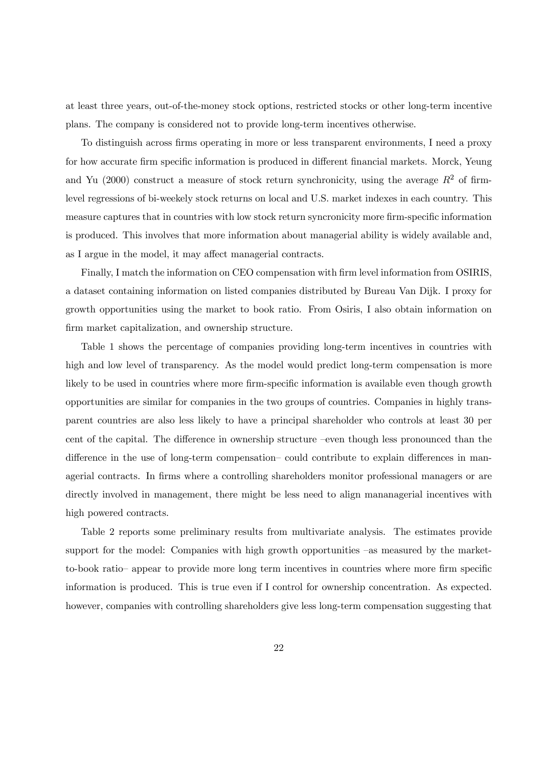at least three years, out-of-the-money stock options, restricted stocks or other long-term incentive plans. The company is considered not to provide long-term incentives otherwise.

To distinguish across firms operating in more or less transparent environments, I need a proxy for how accurate firm specific information is produced in different financial markets. Morck, Yeung and Yu (2000) construct a measure of stock return synchronicity, using the average  $R^2$  of firmlevel regressions of bi-weekely stock returns on local and U.S. market indexes in each country. This measure captures that in countries with low stock return syncronicity more firm-specific information is produced. This involves that more information about managerial ability is widely available and, as I argue in the model, it may affect managerial contracts.

Finally, I match the information on CEO compensation with firm level information from OSIRIS, a dataset containing information on listed companies distributed by Bureau Van Dijk. I proxy for growth opportunities using the market to book ratio. From Osiris, I also obtain information on firm market capitalization, and ownership structure.

Table 1 shows the percentage of companies providing long-term incentives in countries with high and low level of transparency. As the model would predict long-term compensation is more likely to be used in countries where more firm-specific information is available even though growth opportunities are similar for companies in the two groups of countries. Companies in highly transparent countries are also less likely to have a principal shareholder who controls at least 30 per cent of the capital. The difference in ownership structure —even though less pronounced than the difference in the use of long-term compensation— could contribute to explain differences in managerial contracts. In firms where a controlling shareholders monitor professional managers or are directly involved in management, there might be less need to align mananagerial incentives with high powered contracts.

Table 2 reports some preliminary results from multivariate analysis. The estimates provide support for the model: Companies with high growth opportunities –as measured by the marketto-book ratio— appear to provide more long term incentives in countries where more firm specific information is produced. This is true even if I control for ownership concentration. As expected. however, companies with controlling shareholders give less long-term compensation suggesting that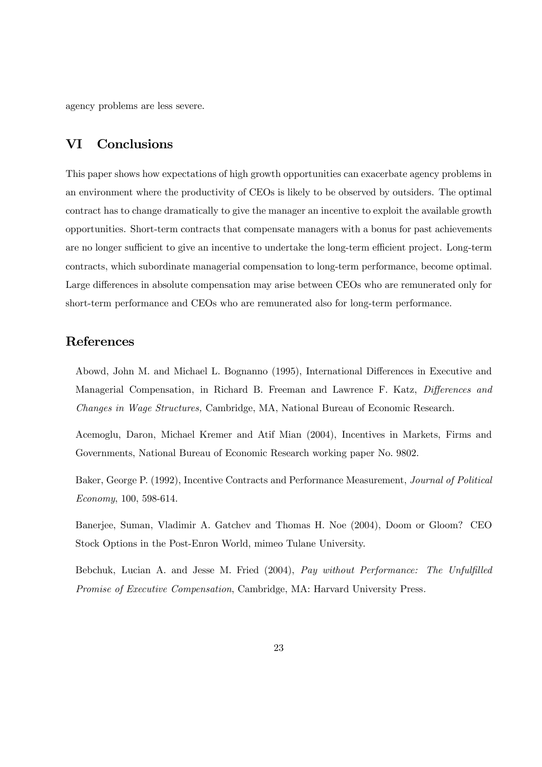agency problems are less severe.

## VI Conclusions

This paper shows how expectations of high growth opportunities can exacerbate agency problems in an environment where the productivity of CEOs is likely to be observed by outsiders. The optimal contract has to change dramatically to give the manager an incentive to exploit the available growth opportunities. Short-term contracts that compensate managers with a bonus for past achievements are no longer sufficient to give an incentive to undertake the long-term efficient project. Long-term contracts, which subordinate managerial compensation to long-term performance, become optimal. Large differences in absolute compensation may arise between CEOs who are remunerated only for short-term performance and CEOs who are remunerated also for long-term performance.

## References

Abowd, John M. and Michael L. Bognanno (1995), International Differences in Executive and Managerial Compensation, in Richard B. Freeman and Lawrence F. Katz, Differences and Changes in Wage Structures, Cambridge, MA, National Bureau of Economic Research.

Acemoglu, Daron, Michael Kremer and Atif Mian (2004), Incentives in Markets, Firms and Governments, National Bureau of Economic Research working paper No. 9802.

Baker, George P. (1992), Incentive Contracts and Performance Measurement, Journal of Political Economy, 100, 598-614.

Banerjee, Suman, Vladimir A. Gatchev and Thomas H. Noe (2004), Doom or Gloom? CEO Stock Options in the Post-Enron World, mimeo Tulane University.

Bebchuk, Lucian A. and Jesse M. Fried (2004), Pay without Performance: The Unfulfilled Promise of Executive Compensation, Cambridge, MA: Harvard University Press.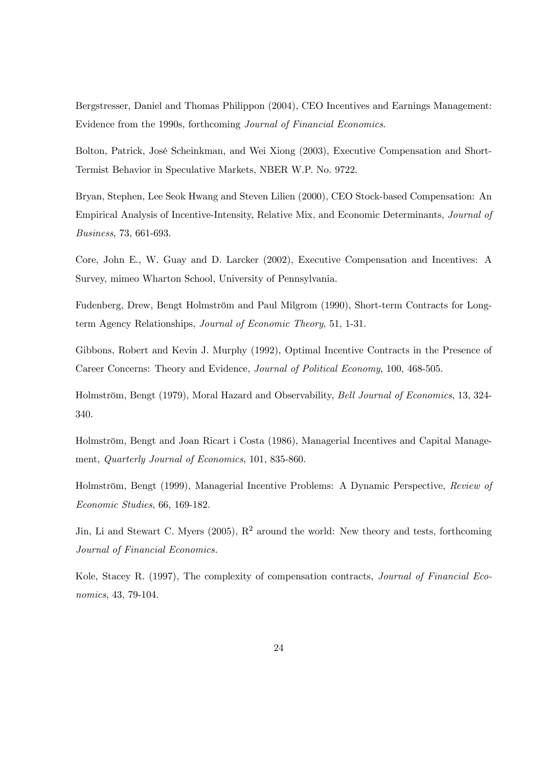Bergstresser, Daniel and Thomas Philippon (2004), CEO Incentives and Earnings Management: Evidence from the 1990s, forthcoming Journal of Financial Economics.

Bolton, Patrick, José Scheinkman, and Wei Xiong (2003), Executive Compensation and Short-Termist Behavior in Speculative Markets, NBER W.P. No. 9722.

Bryan, Stephen, Lee Seok Hwang and Steven Lilien (2000), CEO Stock-based Compensation: An Empirical Analysis of Incentive-Intensity, Relative Mix, and Economic Determinants, Journal of Business, 73, 661-693.

Core, John E., W. Guay and D. Larcker (2002), Executive Compensation and Incentives: A Survey, mimeo Wharton School, University of Pennsylvania.

Fudenberg, Drew, Bengt Holmström and Paul Milgrom (1990), Short-term Contracts for Longterm Agency Relationships, Journal of Economic Theory, 51, 1-31.

Gibbons, Robert and Kevin J. Murphy (1992), Optimal Incentive Contracts in the Presence of Career Concerns: Theory and Evidence, Journal of Political Economy, 100, 468-505.

Holmström, Bengt (1979), Moral Hazard and Observability, Bell Journal of Economics, 13, 324- 340.

Holmström, Bengt and Joan Ricart i Costa (1986), Managerial Incentives and Capital Management, Quarterly Journal of Economics, 101, 835-860.

Holmström, Bengt (1999), Managerial Incentive Problems: A Dynamic Perspective, Review of Economic Studies, 66, 169-182.

Jin, Li and Stewart C. Myers (2005),  $R^2$  around the world: New theory and tests, forthcoming Journal of Financial Economics.

Kole, Stacey R. (1997), The complexity of compensation contracts, Journal of Financial Economics, 43, 79-104.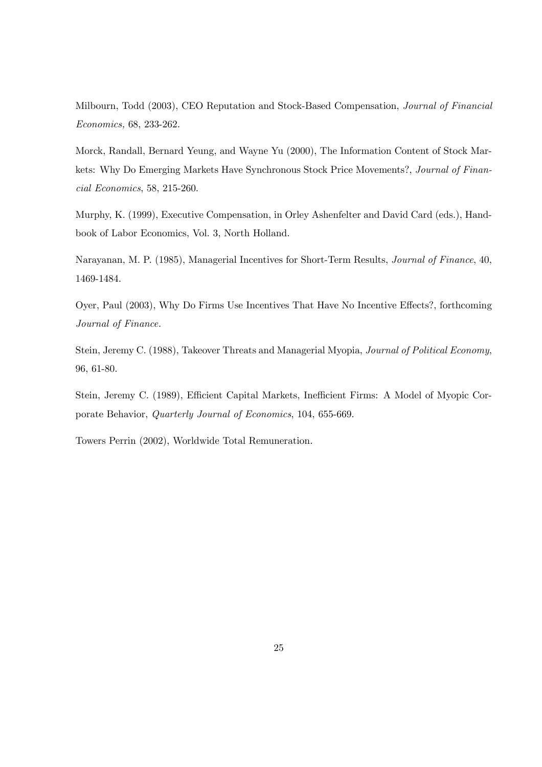Milbourn, Todd (2003), CEO Reputation and Stock-Based Compensation, Journal of Financial Economics, 68, 233-262.

Morck, Randall, Bernard Yeung, and Wayne Yu (2000), The Information Content of Stock Markets: Why Do Emerging Markets Have Synchronous Stock Price Movements?, Journal of Financial Economics, 58, 215-260.

Murphy, K. (1999), Executive Compensation, in Orley Ashenfelter and David Card (eds.), Handbook of Labor Economics, Vol. 3, North Holland.

Narayanan, M. P. (1985), Managerial Incentives for Short-Term Results, Journal of Finance, 40, 1469-1484.

Oyer, Paul (2003), Why Do Firms Use Incentives That Have No Incentive Effects?, forthcoming Journal of Finance.

Stein, Jeremy C. (1988), Takeover Threats and Managerial Myopia, Journal of Political Economy, 96, 61-80.

Stein, Jeremy C. (1989), Efficient Capital Markets, Inefficient Firms: A Model of Myopic Corporate Behavior, Quarterly Journal of Economics, 104, 655-669.

Towers Perrin (2002), Worldwide Total Remuneration.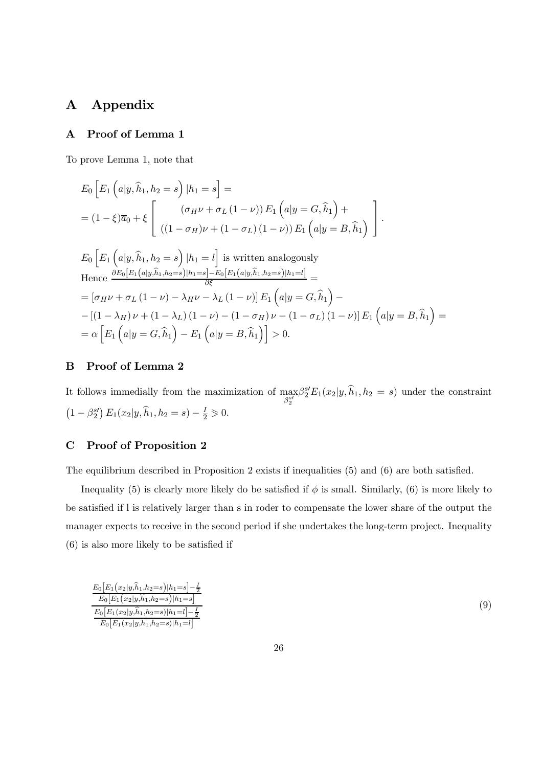## A Appendix

## A Proof of Lemma 1

To prove Lemma 1, note that

$$
E_0 \left[ E_1 \left( a | y, \hat{h}_1, h_2 = s \right) | h_1 = s \right] =
$$
  
=  $(1 - \xi) \overline{a}_0 + \xi \left[ \begin{array}{c} (\sigma_H \nu + \sigma_L (1 - \nu)) E_1 \left( a | y = G, \hat{h}_1 \right) + \\ ((1 - \sigma_H) \nu + (1 - \sigma_L) (1 - \nu)) E_1 \left( a | y = B, \hat{h}_1 \right) \end{array} \right].$ 

$$
E_0 \left[ E_1 \left( a|y, \hat{h}_1, h_2 = s \right) | h_1 = l \right] \text{ is written analogously}
$$
  
Hence  $\frac{\partial E_0 [E_1(a|y, \hat{h}_1, h_2 = s)|h_1 = s] - E_0 [E_1(a|y, \hat{h}_1, h_2 = s)|h_1 = l]}{\partial \xi} =$   
 $= [\sigma_H \nu + \sigma_L (1 - \nu) - \lambda_H \nu - \lambda_L (1 - \nu)] E_1 (a|y = G, \hat{h}_1) -$   
 $- [(1 - \lambda_H) \nu + (1 - \lambda_L) (1 - \nu) - (1 - \sigma_H) \nu - (1 - \sigma_L) (1 - \nu)] E_1 (a|y = B, \hat{h}_1) =$   
 $= \alpha \left[ E_1 (a|y = G, \hat{h}_1) - E_1 (a|y = B, \hat{h}_1) \right] > 0.$ 

## B Proof of Lemma 2

It follows immedially from the maximization of  $\max_{\beta_2^{s'}}$  $\beta_2^{s'} E_1(x_2|y, \widehat{h}_1, h_2 = s)$  under the constraint  $(1 - \beta_2^{s}) E_1(x_2 | y, \hat{h}_1, h_2 = s) - \frac{I}{2} \geq 0.$ 

## C Proof of Proposition 2

The equilibrium described in Proposition 2 exists if inequalities (5) and (6) are both satisfied.

Inequality (5) is clearly more likely do be satisfied if  $\phi$  is small. Similarly, (6) is more likely to be satisfied if l is relatively larger than s in roder to compensate the lower share of the output the manager expects to receive in the second period if she undertakes the long-term project. Inequality (6) is also more likely to be satisfied if

$$
\frac{E_0\left[E_1(x_2|y,\hat{h}_1,h_2=s)|h_1=s\right]-\frac{I}{2}}{E_0\left[E_1(x_2|y,\hat{h}_1,h_2=s)|h_1=s\right]}
$$
\n
$$
\frac{E_0\left[E_1(x_2|y,\hat{h}_1,h_2=s)|h_1=l\right]-\frac{I}{2}}{E_0\left[E_1(x_2|y,\hat{h}_1,h_2=s)|h_1=l\right]}
$$
\n(9)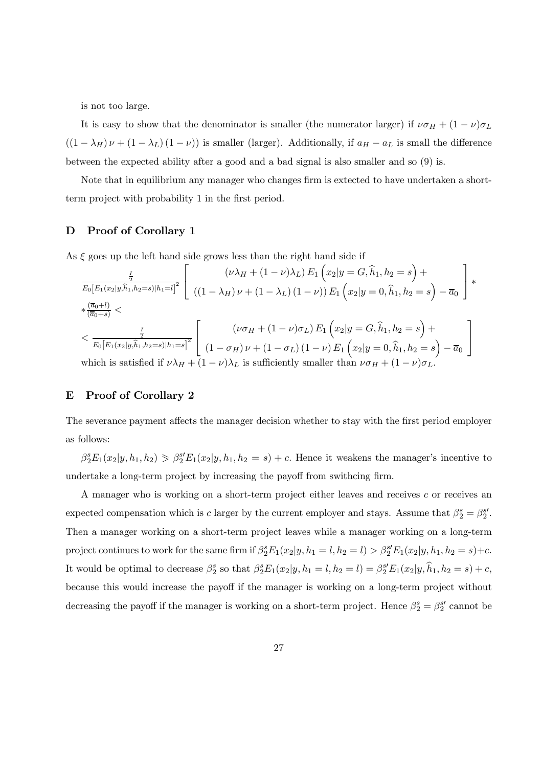is not too large.

It is easy to show that the denominator is smaller (the numerator larger) if  $\nu\sigma_H + (1 - \nu)\sigma_L$  $((1 - \lambda_H)\nu + (1 - \lambda_L)(1 - \nu))$  is smaller (larger). Additionally, if  $a_H - a_L$  is small the difference between the expected ability after a good and a bad signal is also smaller and so (9) is.

Note that in equilibrium any manager who changes firm is extected to have undertaken a shortterm project with probability 1 in the first period.

#### D Proof of Corollary 1

As  $\xi$  goes up the left hand side grows less than the right hand side if

$$
\frac{\frac{1}{2}}{E_0[E_1(x_2|y,\hat{h}_1,h_2=s)|h_1=l]^2} \left[ \begin{array}{c} (\nu \lambda_H + (1-\nu)\lambda_L) E_1\left(x_2|y=G,\hat{h}_1,h_2=s\right)+ \\ ((1-\lambda_H)\nu + (1-\lambda_L)(1-\nu)) E_1\left(x_2|y=G,\hat{h}_1,h_2=s\right)-\overline{a}_0 \end{array} \right] * \begin{array}{c} \left. \frac{\overline{a_0+l}}{\overline{a_0+s}} \right] \times \frac{\left[ \overline{a_0+l}}{\overline{a_0+s}} \right] \times \frac{\frac{1}{2}}{E_0[E_1(x_2|y,\hat{h}_1,h_2=s)|h_1=s]^2} \left[ \begin{array}{c} (\nu \sigma_H + (1-\nu)\sigma_L) E_1\left(x_2|y=G,\hat{h}_1,h_2=s\right)+ \\ (1-\sigma_H)\nu + (1-\sigma_L)(1-\nu) E_1\left(x_2|y=0,\hat{h}_1,h_2=s\right)-\overline{a}_0 \end{array} \right] \end{array}
$$
\nwhich is satisfied if  $\nu \lambda_H + (1-\nu)\lambda_L$  is sufficiently smaller than  $\nu \sigma_H + (1-\nu)\sigma_L$ .

#### E Proof of Corollary 2

The severance payment affects the manager decision whether to stay with the first period employer as follows:

 $\beta_2^s E_1(x_2|y, h_1, h_2) \geq \beta_2^{s'} E_1(x_2|y, h_1, h_2 = s) + c$ . Hence it weakens the manager's incentive to undertake a long-term project by increasing the payoff from swithcing firm.

A manager who is working on a short-term project either leaves and receives c or receives an expected compensation which is c larger by the current employer and stays. Assume that  $\beta_2^s = \beta_2^{s'}$ . Then a manager working on a short-term project leaves while a manager working on a long-term project continues to work for the same firm if  $\beta_2^s E_1(x_2|y, h_1 = l, h_2 = l) > \beta_2^{s'} E_1(x_2|y, h_1, h_2 = s) + c$ . It would be optimal to decrease  $\beta_2^s$  so that  $\beta_2^s E_1(x_2|y, h_1 = l, h_2 = l) = \beta_2^{s'} E_1(x_2|y, \hat{h}_1, h_2 = s) + c$ , because this would increase the payoff if the manager is working on a long-term project without decreasing the payoff if the manager is working on a short-term project. Hence  $\beta_2^s = \beta_2^{s'}$  cannot be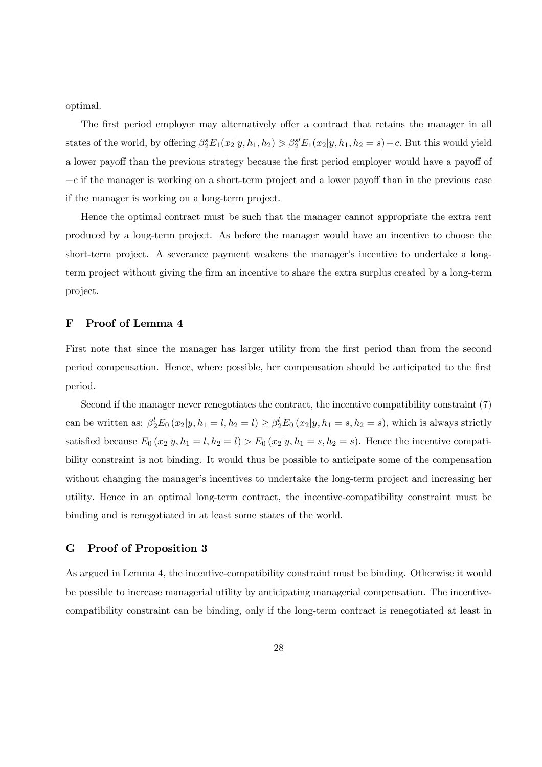optimal.

The first period employer may alternatively offer a contract that retains the manager in all states of the world, by offering  $\beta_2^s E_1(x_2|y, h_1, h_2) \geq \beta_2^{s'} E_1(x_2|y, h_1, h_2 = s) + c$ . But this would yield a lower payoff than the previous strategy because the first period employer would have a payoff of  $-c$  if the manager is working on a short-term project and a lower payoff than in the previous case if the manager is working on a long-term project.

Hence the optimal contract must be such that the manager cannot appropriate the extra rent produced by a long-term project. As before the manager would have an incentive to choose the short-term project. A severance payment weakens the manager's incentive to undertake a longterm project without giving the firm an incentive to share the extra surplus created by a long-term project.

## F Proof of Lemma 4

First note that since the manager has larger utility from the first period than from the second period compensation. Hence, where possible, her compensation should be anticipated to the first period.

Second if the manager never renegotiates the contract, the incentive compatibility constraint (7) can be written as:  $\beta_2^l E_0(x_2|y, h_1 = l, h_2 = l) \ge \beta_2^l E_0(x_2|y, h_1 = s, h_2 = s)$ , which is always strictly satisfied because  $E_0(x_2|y, h_1 = l, h_2 = l) > E_0(x_2|y, h_1 = s, h_2 = s)$ . Hence the incentive compatibility constraint is not binding. It would thus be possible to anticipate some of the compensation without changing the manager's incentives to undertake the long-term project and increasing her utility. Hence in an optimal long-term contract, the incentive-compatibility constraint must be binding and is renegotiated in at least some states of the world.

#### G Proof of Proposition 3

As argued in Lemma 4, the incentive-compatibility constraint must be binding. Otherwise it would be possible to increase managerial utility by anticipating managerial compensation. The incentivecompatibility constraint can be binding, only if the long-term contract is renegotiated at least in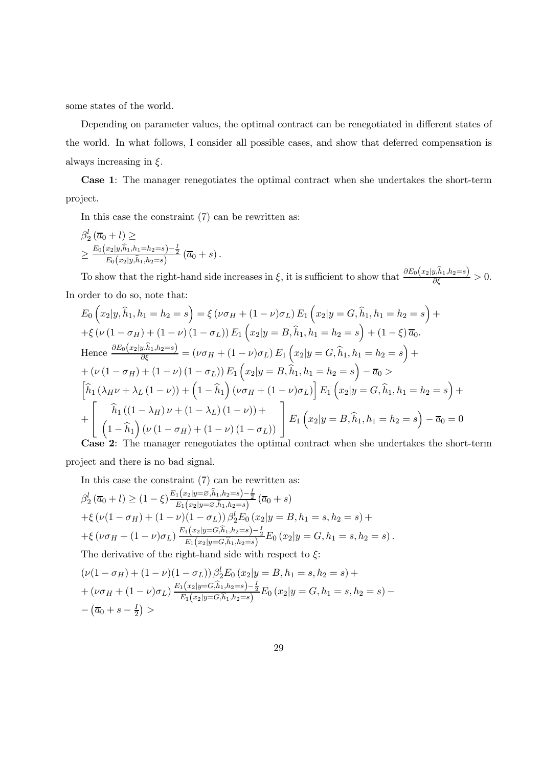some states of the world.

Depending on parameter values, the optimal contract can be renegotiated in different states of the world. In what follows, I consider all possible cases, and show that deferred compensation is always increasing in  $\xi$ .

Case 1: The manager renegotiates the optimal contract when she undertakes the short-term project.

In this case the constraint (7) can be rewritten as:

$$
\frac{\beta_2^l(\overline{a}_0+l)}{\sum_{E_0}(x_2|y,\hat{h}_1,h_1=h_2=s)-\frac{l}{2}} \left(\overline{a}_0+s\right).
$$

To show that the right-hand side increases in  $\xi$ , it is sufficient to show that  $\frac{\partial E_0(x_2|y,\hat{h}_1,h_2=s)}{\partial \xi} > 0$ . In order to do so, note that:

$$
E_0 ig( x_2 | y, \hat{h}_1, h_1 = h_2 = s \big) = \xi \left( \nu \sigma_H + (1 - \nu) \sigma_L \right) E_1 \big( x_2 | y = G, \hat{h}_1, h_1 = h_2 = s \big) +
$$
  
+ $\xi \left( \nu (1 - \sigma_H) + (1 - \nu) (1 - \sigma_L) \right) E_1 \big( x_2 | y = B, \hat{h}_1, h_1 = h_2 = s \big) + (1 - \xi) \overline{a}_0.$   
Hence  $\frac{\partial E_0 (x_2 | y, \hat{h}_1, h_2 = s)}{\partial \xi} = (\nu \sigma_H + (1 - \nu) \sigma_L) E_1 \big( x_2 | y = G, \hat{h}_1, h_1 = h_2 = s \big) +$   
+ $(\nu (1 - \sigma_H) + (1 - \nu) (1 - \sigma_L)) E_1 \big( x_2 | y = B, \hat{h}_1, h_1 = h_2 = s \big) - \overline{a}_0 >$   
 $\big[ \hat{h}_1 (\lambda_H \nu + \lambda_L (1 - \nu)) + (1 - \hat{h}_1) (\nu \sigma_H + (1 - \nu) \sigma_L) \big] E_1 \big( x_2 | y = G, \hat{h}_1, h_1 = h_2 = s \big) +$   
+ $\big[ \hat{h}_1 ((1 - \lambda_H) \nu + (1 - \lambda_L) (1 - \nu)) + \big] E_1 \big( x_2 | y = B, \hat{h}_1, h_1 = h_2 = s \big) - \overline{a}_0 = 0$   
Case 2. The nonzero uncertainties the optimal contract when the methods in the other

Case 2: The manager renegotiates the optimal contract when she undertakes the short-term

project and there is no bad signal.

In this case the constraint (7) can be rewritten as:

$$
\beta_2^l \left( \overline{a}_0 + l \right) \ge (1 - \xi) \frac{E_1(x_2|y = \emptyset, \hat{h}_1, h_2 = s) - \frac{l}{2}}{E_1(x_2|y = \emptyset, \hat{h}_1, h_2 = s)} (\overline{a}_0 + s)
$$
  
+ $\xi \left( \nu (1 - \sigma_H) + (1 - \nu)(1 - \sigma_L) \right) \beta_2^l E_0 (x_2|y = B, h_1 = s, h_2 = s) +$   
+ $\xi \left( \nu \sigma_H + (1 - \nu) \sigma_L \right) \frac{E_1(x_2|y = G, \hat{h}_1, h_2 = s) - \frac{l}{2}}{E_1(x_2|y = G, \hat{h}_1, h_2 = s)} E_0 (x_2|y = G, h_1 = s, h_2 = s).$   
The derivative of the right hand side with respect to 6:

The derivative of the right-hand side with respect to  $\xi$ :

$$
(\nu(1 - \sigma_H) + (1 - \nu)(1 - \sigma_L)) \beta_2^l E_0 (x_2 | y = B, h_1 = s, h_2 = s) +
$$
  
+ 
$$
(\nu \sigma_H + (1 - \nu) \sigma_L) \frac{E_1(x_2 | y = G, \hat{h}_1, h_2 = s) - \frac{1}{2}}{E_1(x_2 | y = G, \hat{h}_1, h_2 = s)} E_0 (x_2 | y = G, h_1 = s, h_2 = s) -
$$
  
- 
$$
(\overline{a}_0 + s - \frac{1}{2}) >
$$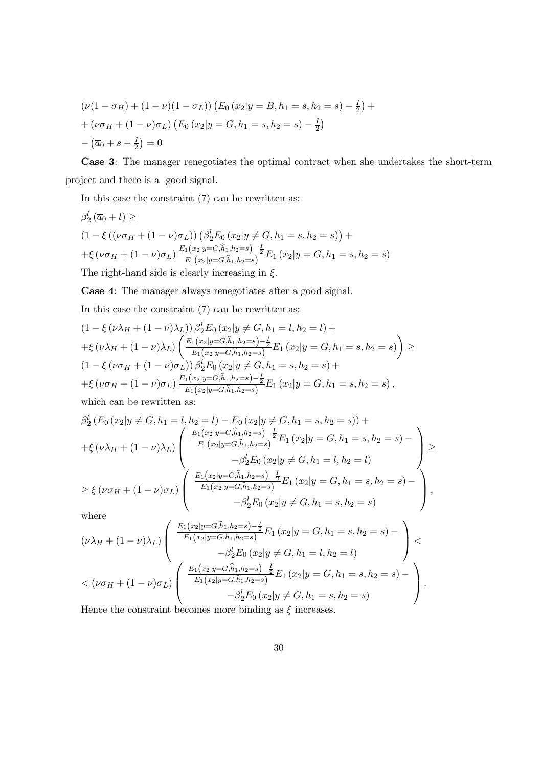$$
(\nu(1 - \sigma_H) + (1 - \nu)(1 - \sigma_L)) (E_0 (x_2 | y = B, h_1 = s, h_2 = s) - \frac{I}{2}) +
$$
  
+ 
$$
(\nu \sigma_H + (1 - \nu) \sigma_L) (E_0 (x_2 | y = G, h_1 = s, h_2 = s) - \frac{I}{2})
$$
  
- 
$$
(\overline{a}_0 + s - \frac{I}{2}) = 0
$$

Case 3: The manager renegotiates the optimal contract when she undertakes the short-term project and there is a good signal.

In this case the constraint (7) can be rewritten as:

$$
\beta_2^l (\overline{a}_0 + l) \ge
$$
\n
$$
(1 - \xi ((\nu \sigma_H + (1 - \nu) \sigma_L)) (\beta_2^l E_0 (x_2 | y \neq G, h_1 = s, h_2 = s)) +
$$
\n
$$
+ \xi (\nu \sigma_H + (1 - \nu) \sigma_L) \frac{E_1(x_2 | y = G, \hat{h}_1, h_2 = s) - \frac{1}{2}}{E_1(x_2 | y = G, \hat{h}_1, h_2 = s)} E_1 (x_2 | y = G, h_1 = s, h_2 = s)
$$
\nThe right-hand side is clearly increasing in  $\xi$ .

Case 4: The manager always renegotiates after a good signal.

In this case the constraint (7) can be rewritten as:

$$
(1 - \xi (\nu \lambda_H + (1 - \nu) \lambda_L)) \beta_2^l E_0 (x_2 | y \neq G, h_1 = l, h_2 = l) +
$$
  
+
$$
+ \xi (\nu \lambda_H + (1 - \nu) \lambda_L) \left( \frac{E_1(x_2 | y = G, \hat{h}_1, h_2 = s) - \frac{I}{2}}{E_1(x_2 | y = G, \hat{h}_1, h_2 = s)} E_1 (x_2 | y = G, h_1 = s, h_2 = s) \right) \ge
$$
  

$$
(1 - \xi (\nu \sigma_H + (1 - \nu) \sigma_L)) \beta_2^l E_0 (x_2 | y \neq G, h_1 = s, h_2 = s) +
$$
  
+
$$
+ \xi (\nu \sigma_H + (1 - \nu) \sigma_L) \frac{E_1(x_2 | y = G, \hat{h}_1, h_2 = s) - \frac{I}{2}}{E_1(x_2 | y = G, \hat{h}_1, h_2 = s)} E_1 (x_2 | y = G, h_1 = s, h_2 = s),
$$

which can be rewritten as:

$$
\beta_2^l (E_0 (x_2 | y \neq G, h_1 = l, h_2 = l) - E_0 (x_2 | y \neq G, h_1 = s, h_2 = s)) +
$$
  
+ $\xi (\nu \lambda_H + (1 - \nu) \lambda_L)$ 
$$
\begin{pmatrix} \frac{E_1(x_2 | y = G, \hat{h}_1, h_2 = s) - \frac{1}{2}}{E_1(x_2 | y = G, \hat{h}_1, h_2 = s)} E_1 (x_2 | y = G, h_1 = s, h_2 = s) -
$$
  
- $\beta_2^l E_0 (x_2 | y \neq G, h_1 = l, h_2 = l)$   
 $\geq \xi (\nu \sigma_H + (1 - \nu) \sigma_L)$ 
$$
\begin{pmatrix} \frac{E_1(x_2 | y = G, \hat{h}_1, h_2 = s) - \frac{1}{2}}{E_1(x_2 | y = G, \hat{h}_1, h_2 = s)} E_1 (x_2 | y = G, h_1 = s, h_2 = s) -
$$
  
- $\beta_2^l E_0 (x_2 | y \neq G, h_1 = s, h_2 = s)$ 

where

where  
\n
$$
(\nu \lambda_H + (1 - \nu) \lambda_L) \begin{pmatrix} \frac{E_1(x_2|y = G, \hat{h}_1, h_2 = s) - \frac{I}{2}}{E_1(x_2|y = G, \hat{h}_1, h_2 = s)} E_1(x_2|y = G, h_1 = s, h_2 = s) - \\ -\beta_L^l E_0(x_2|y \neq G, h_1 = l, h_2 = l) \end{pmatrix} \n
$$
< (\nu \sigma_H + (1 - \nu) \sigma_L) \begin{pmatrix} \frac{E_1(x_2|y = G, \hat{h}_1, h_2 = s) - \frac{I}{2}}{E_1(x_2|y = G, \hat{h}_1, h_2 = s)} E_1(x_2|y = G, h_1 = s, h_2 = s) - \\ -\beta_L^l E_0(x_2|y \neq G, h_1 = s, h_2 = s) \end{pmatrix}.
$$
\nHence the constraint becomes more binding as  $\xi$  increases.
$$

Hence the constraint becomes more binding as  $\xi$  increases.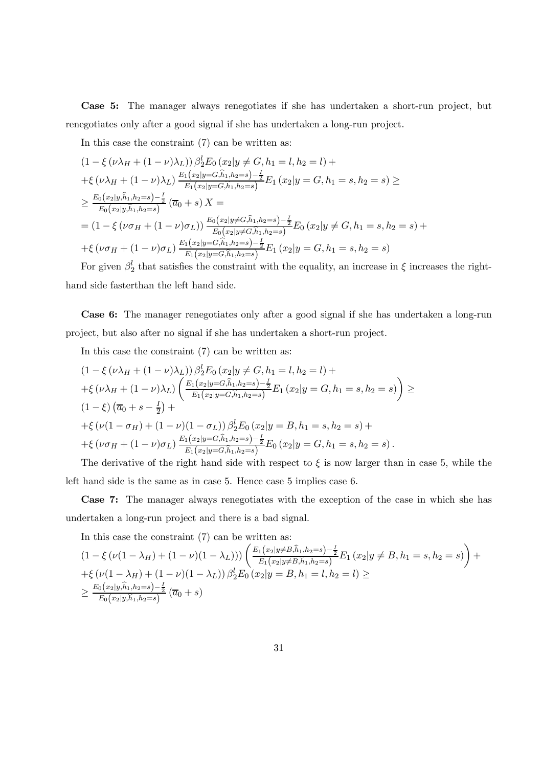Case 5: The manager always renegotiates if she has undertaken a short-run project, but renegotiates only after a good signal if she has undertaken a long-run project.

In this case the constraint (7) can be written as:

$$
(1 - \xi (\nu \lambda_H + (1 - \nu) \lambda_L)) \beta_2^l E_0 (x_2 | y \neq G, h_1 = l, h_2 = l) +
$$
  
+
$$
\xi (\nu \lambda_H + (1 - \nu) \lambda_L) \frac{E_1(x_2 | y = G, \hat{h}_1, h_2 = s) - \frac{l}{2}}{E_1(x_2 | y = G, \hat{h}_1, h_2 = s)} E_1 (x_2 | y = G, h_1 = s, h_2 = s) \ge
$$
  

$$
\geq \frac{E_0(x_2 | y, \hat{h}_1, h_2 = s) - \frac{l}{2}}{E_0(x_2 | y, \hat{h}_1, h_2 = s)} (\overline{a}_0 + s) X =
$$
  
= 
$$
(1 - \xi (\nu \sigma_H + (1 - \nu) \sigma_L)) \frac{E_0(x_2 | y \neq G, \hat{h}_1, h_2 = s) - \frac{l}{2}}{E_0(x_2 | y \neq G, \hat{h}_1, h_2 = s)} E_0 (x_2 | y \neq G, h_1 = s, h_2 = s) +
$$
  
+
$$
\xi (\nu \sigma_H + (1 - \nu) \sigma_L) \frac{E_1(x_2 | y = G, \hat{h}_1, h_2 = s) - \frac{l}{2}}{E_1(x_2 | y = G, \hat{h}_1, h_2 = s)} E_1 (x_2 | y = G, h_1 = s, h_2 = s)
$$

For given  $\beta_2^l$  that satisfies the constraint with the equality, an increase in  $\xi$  increases the righthand side fasterthan the left hand side.

Case 6: The manager renegotiates only after a good signal if she has undertaken a long-run project, but also after no signal if she has undertaken a short-run project.

In this case the constraint (7) can be written as:

$$
(1 - \xi (\nu \lambda_H + (1 - \nu) \lambda_L)) \beta_2^l E_0 (x_2 | y \neq G, h_1 = l, h_2 = l) +
$$
  
+
$$
\xi (\nu \lambda_H + (1 - \nu) \lambda_L) \left( \frac{E_1(x_2 | y = G, \hat{h}_1, h_2 = s) - \frac{I}{2}}{E_1(x_2 | y = G, \hat{h}_1, h_2 = s)} E_1 (x_2 | y = G, h_1 = s, h_2 = s) \right) \ge
$$
  

$$
(1 - \xi) (\overline{a}_0 + s - \frac{I}{2}) +
$$
  
+
$$
\xi (\nu (1 - \sigma_H) + (1 - \nu) (1 - \sigma_L)) \beta_2^l E_0 (x_2 | y = B, h_1 = s, h_2 = s) +
$$
  
+
$$
\xi (\nu \sigma_H + (1 - \nu) \sigma_L) \frac{E_1(x_2 | y = G, \hat{h}_1, h_2 = s) - \frac{I}{2}}{E_1(x_2 | y = G, \hat{h}_1, h_2 = s)} E_0 (x_2 | y = G, h_1 = s, h_2 = s).
$$

The derivative of the right hand side with respect to  $\xi$  is now larger than in case 5, while the left hand side is the same as in case 5. Hence case 5 implies case 6.

Case 7: The manager always renegotiates with the exception of the case in which she has undertaken a long-run project and there is a bad signal.

In this case the constraint (7) can be written as:

$$
(1 - \xi (\nu(1 - \lambda_H) + (1 - \nu)(1 - \lambda_L))) \left( \frac{E_1(x_2|y \neq B, \hat{h}_1, h_2 = s) - \frac{1}{2}}{E_1(x_2|y \neq B, \hat{h}_1, h_2 = s)} E_1(x_2|y \neq B, h_1 = s, h_2 = s) \right) +
$$
  
+
$$
\xi (\nu(1 - \lambda_H) + (1 - \nu)(1 - \lambda_L)) \beta_2^l E_0(x_2|y = B, h_1 = l, h_2 = l) \ge
$$
  

$$
\ge \frac{E_0(x_2|y, \hat{h}_1, h_2 = s) - \frac{1}{2}}{E_0(x_2|y, \hat{h}_1, h_2 = s)} (\overline{a}_0 + s)
$$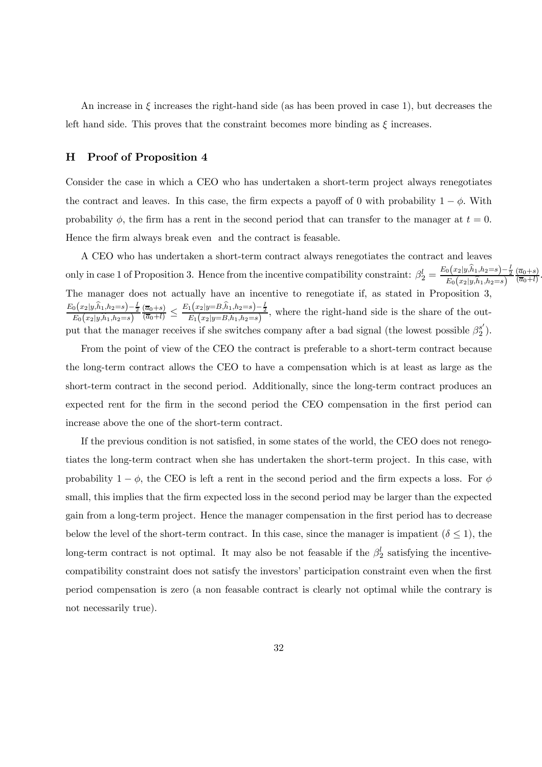An increase in  $\xi$  increases the right-hand side (as has been proved in case 1), but decreases the left hand side. This proves that the constraint becomes more binding as  $\xi$  increases.

## H Proof of Proposition 4

Consider the case in which a CEO who has undertaken a short-term project always renegotiates the contract and leaves. In this case, the firm expects a payoff of 0 with probability  $1 - \phi$ . With probability  $\phi$ , the firm has a rent in the second period that can transfer to the manager at  $t = 0$ . Hence the firm always break even and the contract is feasable.

A CEO who has undertaken a short-term contract always renegotiates the contract and leaves only in case 1 of Proposition 3. Hence from the incentive compatibility constraint:  $\beta_2^l = \frac{E_0(x_2|y,\hat{h}_1,h_2=s) - \frac{1}{2}}{E_0(x_2|y,\hat{h}_1,h_2=s)}$  $\frac{(\overline{a}_0+s)}{(\overline{a}_0+l)}$ . The manager does not actually have an incentive to renegotiate if, as stated in Proposition 3,  $E_0(x_2|y,\hat{h}_1,h_2=s)-\frac{I}{2}$ <br> $E_0(x_2|y,\hat{h}_1,h_2=s)$  $\frac{(\overline{a}_0+s)}{(\overline{a}_0+l)} \leq \frac{E_1(x_2|y=B,\hat{h}_1,h_2=s)-\frac{1}{2}}{E_1(x_2|y=B,\hat{h}_1,h_2=s)},$  where the right-hand side is the share of the output that the manager receives if she switches company after a bad signal (the lowest possible  $\beta_2^{s'}$ ).

From the point of view of the CEO the contract is preferable to a short-term contract because the long-term contract allows the CEO to have a compensation which is at least as large as the short-term contract in the second period. Additionally, since the long-term contract produces an expected rent for the firm in the second period the CEO compensation in the first period can increase above the one of the short-term contract.

If the previous condition is not satisfied, in some states of the world, the CEO does not renegotiates the long-term contract when she has undertaken the short-term project. In this case, with probability  $1 - \phi$ , the CEO is left a rent in the second period and the firm expects a loss. For  $\phi$ small, this implies that the firm expected loss in the second period may be larger than the expected gain from a long-term project. Hence the manager compensation in the first period has to decrease below the level of the short-term contract. In this case, since the manager is impatient  $(\delta \leq 1)$ , the long-term contract is not optimal. It may also be not feasable if the  $\beta_2^l$  satisfying the incentivecompatibility constraint does not satisfy the investors' participation constraint even when the first period compensation is zero (a non feasable contract is clearly not optimal while the contrary is not necessarily true).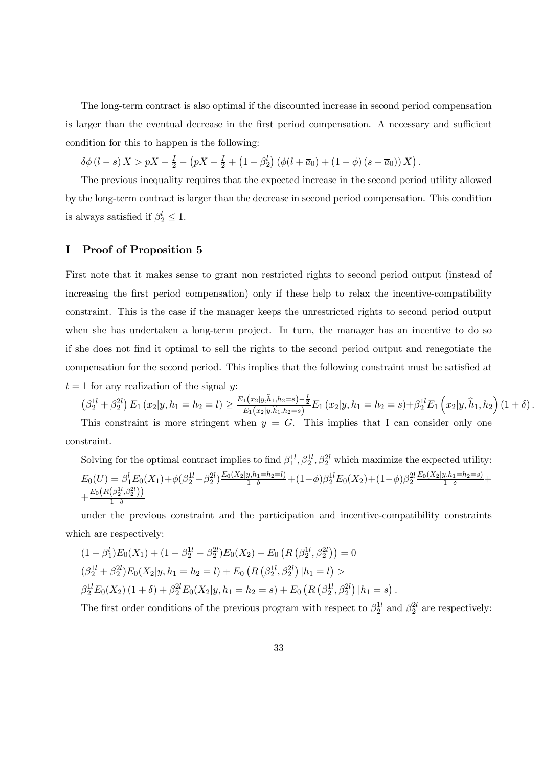The long-term contract is also optimal if the discounted increase in second period compensation is larger than the eventual decrease in the first period compensation. A necessary and sufficient condition for this to happen is the following:

$$
\delta\phi(l-s) X > pX - \frac{I}{2} - (pX - \frac{I}{2} + (1 - \beta_2^l) (\phi(l+\overline{a}_0) + (1 - \phi) (s+\overline{a}_0)) X).
$$

The previous inequality requires that the expected increase in the second period utility allowed by the long-term contract is larger than the decrease in second period compensation. This condition is always satisfied if  $\beta_2^l \leq 1$ .

## I Proof of Proposition 5

First note that it makes sense to grant non restricted rights to second period output (instead of increasing the first period compensation) only if these help to relax the incentive-compatibility constraint. This is the case if the manager keeps the unrestricted rights to second period output when she has undertaken a long-term project. In turn, the manager has an incentive to do so if she does not find it optimal to sell the rights to the second period output and renegotiate the compensation for the second period. This implies that the following constraint must be satisfied at  $t = 1$  for any realization of the signal y:

$$
\left(\beta_2^{1l} + \beta_2^{2l}\right) E_1\left(x_2|y, h_1 = h_2 = l\right) \ge \frac{E_1(x_2|y, \hat{h}_1, h_2 = s) - \frac{1}{2}}{E_1(x_2|y, \hat{h}_1, h_2 = s)} E_1\left(x_2|y, h_1 = h_2 = s\right) + \beta_2^{1l} E_1\left(x_2|y, \hat{h}_1, h_2\right) \left(1 + \delta\right).
$$

This constraint is more stringent when  $y = G$ . This implies that I can consider only one constraint.

Solving for the optimal contract implies to find  $\beta_1^{1l}, \beta_2^{1l}, \beta_2^{2l}$  which maximize the expected utility:  $E_0(U) = \beta_1^l E_0(X_1) + \phi(\beta_2^{1l} + \beta_2^{2l}) \frac{E_0(X_2|y, h_1 = h_2 = l)}{1+\delta} + (1-\phi)\beta_2^{1l} E_0(X_2) + (1-\phi)\beta_2^{2l} \frac{E_0(X_2|y, h_1 = h_2 = s)}{1+\delta} +$  $+\frac{E_0\left(R\left(\beta_2^{1l},\beta_2^{2l}\right)\right)}{1+\delta}$  $_{1+\delta}$ 

under the previous constraint and the participation and incentive-compatibility constraints which are respectively:

$$
(1 - \beta_1^l) E_0(X_1) + (1 - \beta_2^{1l} - \beta_2^{2l}) E_0(X_2) - E_0 \left( R \left( \beta_2^{1l}, \beta_2^{2l} \right) \right) = 0
$$
  
\n
$$
(\beta_2^{1l} + \beta_2^{2l}) E_0(X_2 | y, h_1 = h_2 = l) + E_0 \left( R \left( \beta_2^{1l}, \beta_2^{2l} \right) | h_1 = l \right) >
$$
  
\n
$$
\beta_2^{1l} E_0(X_2) (1 + \delta) + \beta_2^{2l} E_0(X_2 | y, h_1 = h_2 = s) + E_0 \left( R \left( \beta_2^{1l}, \beta_2^{2l} \right) | h_1 = s \right).
$$

The first order conditions of the previous program with respect to  $\beta_2^{1l}$  and  $\beta_2^{2l}$  are respectively: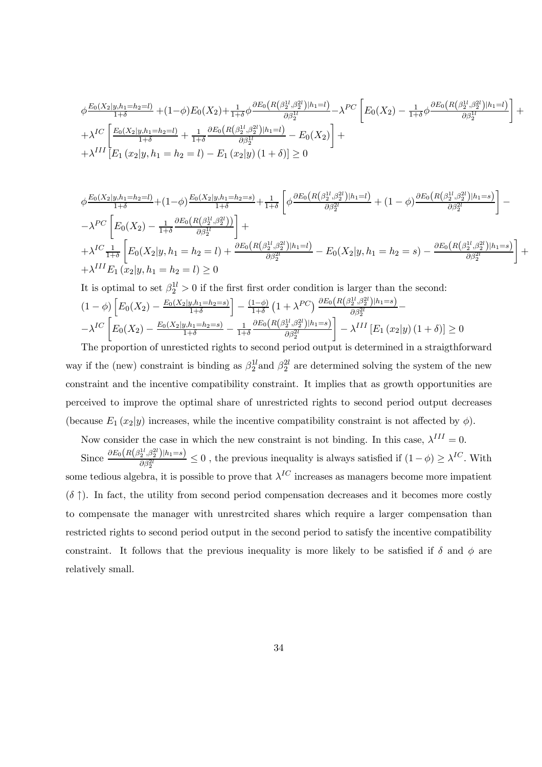$$
\phi \frac{E_0(X_2|y, h_1=h_2=l)}{1+\delta} + (1-\phi)E_0(X_2) + \frac{1}{1+\delta}\phi \frac{\partial E_0(R(\beta_2^{1l}, \beta_2^{2l})|h_1=l)}{\partial \beta_2^{1l}} - \lambda^{PC} \left[ E_0(X_2) - \frac{1}{1+\delta}\phi \frac{\partial E_0(R(\beta_2^{1l}, \beta_2^{2l})|h_1=l)}{\partial \beta_2^{1l}} \right] + \lambda^{IC} \left[ \frac{E_0(X_2|y, h_1=h_2=l)}{1+\delta} + \frac{1}{1+\delta} \frac{\partial E_0(R(\beta_2^{1l}, \beta_2^{2l})|h_1=l)}{\partial \beta_2^{1l}} - E_0(X_2) \right] + \lambda^{III} \left[ E_1(x_2|y, h_1=h_2=l) - E_1(x_2|y)(1+\delta) \right] \ge 0
$$

$$
\phi \frac{E_0(X_2|y, h_1=h_2=l)}{1+\delta} + (1-\phi) \frac{E_0(X_2|y, h_1=h_2=s)}{1+\delta} + \frac{1}{1+\delta} \left[ \phi \frac{\partial E_0(R(\beta_2^{1l}, \beta_2^{2l})|h_1=l)}{\partial \beta_2^{2l}} + (1-\phi) \frac{\partial E_0(R(\beta_2^{1l}, \beta_2^{2l})|h_1=s)}{\partial \beta_2^{2l}} \right] - \lambda^{PC} \left[ E_0(X_2) - \frac{1}{1+\delta} \frac{\partial E_0(R(\beta_2^{1l}, \beta_2^{2l}))}{\partial \beta_2^{1l}} \right] + \lambda^{IC} \frac{1}{1+\delta} \left[ E_0(X_2|y, h_1=h_2=l) + \frac{\partial E_0(R(\beta_2^{1l}, \beta_2^{2l})|h_1=l)}{\partial \beta_2^{2l}} - E_0(X_2|y, h_1=h_2=s) - \frac{\partial E_0(R(\beta_2^{1l}, \beta_2^{2l})|h_1=s)}{\partial \beta_2^{2l}} \right] + \lambda^{III} E_1(x_2|y, h_1=h_2=l) \ge 0
$$

It is optimal to set 
$$
\beta_2^{1l} > 0
$$
 if the first first order condition is larger than the second:  
\n
$$
(1 - \phi) \left[ E_0(X_2) - \frac{E_0(X_2|y, h_1 = h_2 = s)}{1 + \delta} \right] - \frac{(1 - \phi)}{1 + \delta} \left( 1 + \lambda^{PC} \right) \frac{\partial E_0(R(\beta_2^{1l}, \beta_2^{2l})|h_1 = s)}{\partial \beta_2^{2l}} - \frac{\lambda^{IC}}{E_0(X_2) - \frac{E_0(X_2|y, h_1 = h_2 = s)}{1 + \delta} - \frac{1}{1 + \delta} \frac{\partial E_0(R(\beta_2^{1l}, \beta_2^{2l})|h_1 = s)}{\partial \beta_2^{2l}} - \lambda^{III} \left[ E_1(x_2|y) (1 + \delta) \right] \ge 0
$$

The proportion of unresticted rights to second period output is determined in a straigthforward way if the (new) constraint is binding as  $\beta_2^{1l}$  and  $\beta_2^{2l}$  are determined solving the system of the new constraint and the incentive compatibility constraint. It implies that as growth opportunities are perceived to improve the optimal share of unrestricted rights to second period output decreases (because  $E_1(x_2|y)$  increases, while the incentive compatibility constraint is not affected by  $\phi$ ).

Now consider the case in which the new constraint is not binding. In this case,  $\lambda^{III} = 0$ . Since  $\frac{\partial E_0(R(\beta_2^{1l}, \beta_2^{2l})|h_1=s)}{a\beta_2^{2l}}$  $\frac{\partial^2 S}{\partial \beta_2^{2l}}$  = 0, the previous inequality is always satisfied if  $(1 - \phi) \ge \lambda^{IC}$ . With some tedious algebra, it is possible to prove that  $\lambda^{IC}$  increases as managers become more impatient  $(\delta \uparrow)$ . In fact, the utility from second period compensation decreases and it becomes more costly to compensate the manager with unrestrcited shares which require a larger compensation than restricted rights to second period output in the second period to satisfy the incentive compatibility constraint. It follows that the previous inequality is more likely to be satisfied if  $\delta$  and  $\phi$  are relatively small.